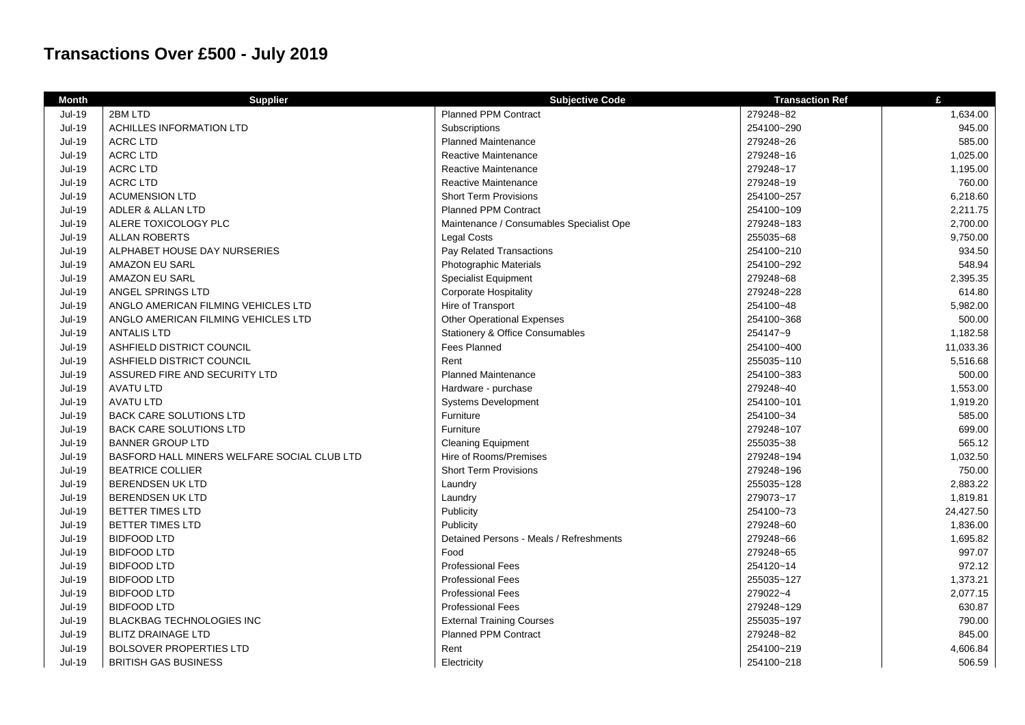## **Transactions Over £500 - July 2019**

| <b>Month</b>  | <b>Supplier</b>                             | <b>Subjective Code</b>                     | <b>Transaction Ref</b> | £         |
|---------------|---------------------------------------------|--------------------------------------------|------------------------|-----------|
| <b>Jul-19</b> | 2BM LTD                                     | <b>Planned PPM Contract</b>                | 279248~82              | 1,634.00  |
| <b>Jul-19</b> | <b>ACHILLES INFORMATION LTD</b>             | Subscriptions                              | 254100~290             | 945.00    |
| $Jul-19$      | <b>ACRC LTD</b>                             | <b>Planned Maintenance</b>                 | 279248~26              | 585.00    |
| <b>Jul-19</b> | <b>ACRC LTD</b>                             | <b>Reactive Maintenance</b>                | 279248~16              | 1,025.00  |
| <b>Jul-19</b> | <b>ACRC LTD</b>                             | Reactive Maintenance                       | 279248~17              | 1,195.00  |
| <b>Jul-19</b> | <b>ACRC LTD</b>                             | Reactive Maintenance                       | 279248~19              | 760.00    |
| <b>Jul-19</b> | <b>ACUMENSION LTD</b>                       | <b>Short Term Provisions</b>               | 254100~257             | 6,218.60  |
| <b>Jul-19</b> | ADLER & ALLAN LTD                           | <b>Planned PPM Contract</b>                | 254100~109             | 2,211.75  |
| <b>Jul-19</b> | ALERE TOXICOLOGY PLC                        | Maintenance / Consumables Specialist Ope   | 279248~183             | 2,700.00  |
| <b>Jul-19</b> | <b>ALLAN ROBERTS</b>                        | <b>Legal Costs</b>                         | 255035~68              | 9,750.00  |
| <b>Jul-19</b> | ALPHABET HOUSE DAY NURSERIES                | Pay Related Transactions                   | 254100~210             | 934.50    |
| $Jul-19$      | AMAZON EU SARL                              | Photographic Materials                     | 254100~292             | 548.94    |
| <b>Jul-19</b> | AMAZON EU SARL                              | <b>Specialist Equipment</b>                | 279248~68              | 2,395.35  |
| <b>Jul-19</b> | ANGEL SPRINGS LTD                           | <b>Corporate Hospitality</b>               | 279248~228             | 614.80    |
| <b>Jul-19</b> | ANGLO AMERICAN FILMING VEHICLES LTD         | Hire of Transport                          | 254100~48              | 5,982.00  |
| <b>Jul-19</b> | ANGLO AMERICAN FILMING VEHICLES LTD         | <b>Other Operational Expenses</b>          | 254100~368             | 500.00    |
| <b>Jul-19</b> | <b>ANTALIS LTD</b>                          | <b>Stationery &amp; Office Consumables</b> | 254147~9               | 1,182.58  |
| <b>Jul-19</b> | ASHFIELD DISTRICT COUNCIL                   | <b>Fees Planned</b>                        | 254100~400             | 11,033.36 |
| <b>Jul-19</b> | ASHFIELD DISTRICT COUNCIL                   | Rent                                       | 255035~110             | 5,516.68  |
| $Jul-19$      | ASSURED FIRE AND SECURITY LTD               | <b>Planned Maintenance</b>                 | 254100~383             | 500.00    |
| <b>Jul-19</b> | <b>AVATU LTD</b>                            | Hardware - purchase                        | 279248~40              | 1,553.00  |
| <b>Jul-19</b> | <b>AVATU LTD</b>                            | Systems Development                        | 254100~101             | 1,919.20  |
| <b>Jul-19</b> | <b>BACK CARE SOLUTIONS LTD</b>              | Furniture                                  | 254100~34              | 585.00    |
| $Jul-19$      | <b>BACK CARE SOLUTIONS LTD</b>              | Furniture                                  | 279248~107             | 699.00    |
| <b>Jul-19</b> | <b>BANNER GROUP LTD</b>                     | <b>Cleaning Equipment</b>                  | 255035~38              | 565.12    |
| <b>Jul-19</b> | BASFORD HALL MINERS WELFARE SOCIAL CLUB LTD | Hire of Rooms/Premises                     | 279248~194             | 1,032.50  |
| <b>Jul-19</b> | <b>BEATRICE COLLIER</b>                     | <b>Short Term Provisions</b>               | 279248~196             | 750.00    |
| <b>Jul-19</b> | <b>BERENDSEN UK LTD</b>                     | Laundry                                    | 255035~128             | 2,883.22  |
| <b>Jul-19</b> | <b>BERENDSEN UK LTD</b>                     | Laundry                                    | 279073~17              | 1,819.81  |
| <b>Jul-19</b> | <b>BETTER TIMES LTD</b>                     | Publicity                                  | 254100~73              | 24,427.50 |
| <b>Jul-19</b> | <b>BETTER TIMES LTD</b>                     | Publicity                                  | 279248~60              | 1,836.00  |
| <b>Jul-19</b> | <b>BIDFOOD LTD</b>                          | Detained Persons - Meals / Refreshments    | 279248~66              | 1,695.82  |
| <b>Jul-19</b> | <b>BIDFOOD LTD</b>                          | Food                                       | 279248~65              | 997.07    |
| <b>Jul-19</b> | <b>BIDFOOD LTD</b>                          | <b>Professional Fees</b>                   | 254120~14              | 972.12    |
| <b>Jul-19</b> | <b>BIDFOOD LTD</b>                          | <b>Professional Fees</b>                   | 255035~127             | 1,373.21  |
| $Jul-19$      | <b>BIDFOOD LTD</b>                          | <b>Professional Fees</b>                   | 279022~4               | 2,077.15  |
| <b>Jul-19</b> | <b>BIDFOOD LTD</b>                          | <b>Professional Fees</b>                   | 279248~129             | 630.87    |
| <b>Jul-19</b> | <b>BLACKBAG TECHNOLOGIES INC</b>            | <b>External Training Courses</b>           | 255035~197             | 790.00    |
| <b>Jul-19</b> | <b>BLITZ DRAINAGE LTD</b>                   | <b>Planned PPM Contract</b>                | 279248~82              | 845.00    |
| $Jul-19$      | <b>BOLSOVER PROPERTIES LTD</b>              | Rent                                       | 254100~219             | 4,606.84  |
| <b>Jul-19</b> | <b>BRITISH GAS BUSINESS</b>                 | Electricity                                | 254100~218             | 506.59    |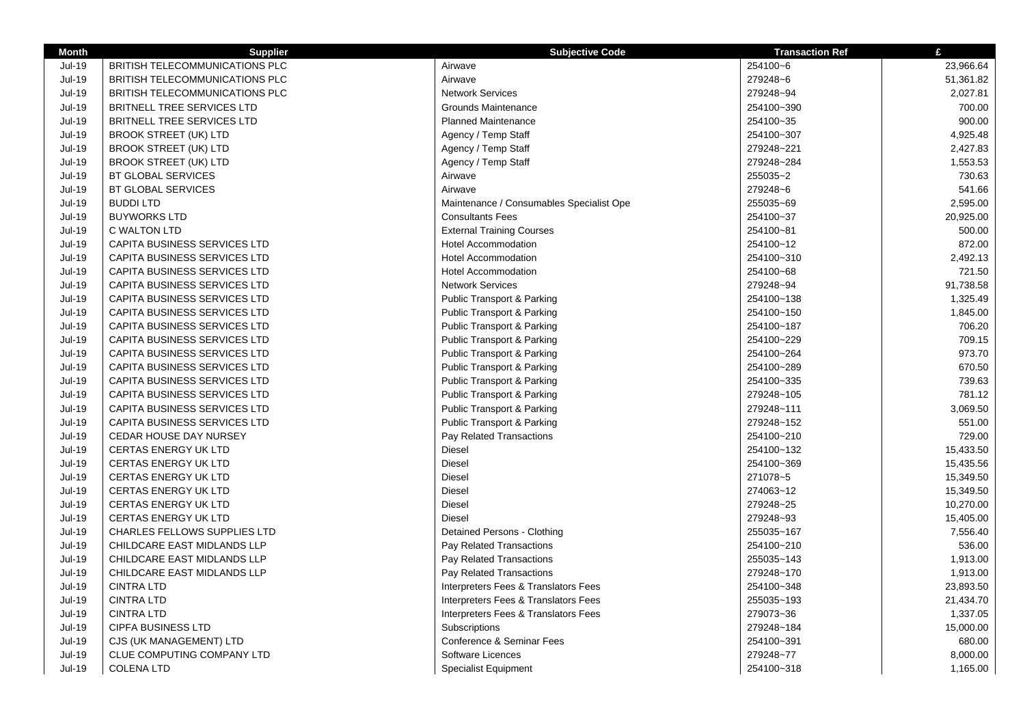| <b>Month</b>  | <b>Supplier</b>                     | <b>Subjective Code</b>                   | <b>Transaction Ref</b> | $\mathbf{f}$ |
|---------------|-------------------------------------|------------------------------------------|------------------------|--------------|
| <b>Jul-19</b> | BRITISH TELECOMMUNICATIONS PLC      | Airwave                                  | 254100~6               | 23,966.64    |
| <b>Jul-19</b> | BRITISH TELECOMMUNICATIONS PLC      | Airwave                                  | 279248~6               | 51,361.82    |
| <b>Jul-19</b> | BRITISH TELECOMMUNICATIONS PLC      | <b>Network Services</b>                  | 279248~94              | 2,027.81     |
| <b>Jul-19</b> | BRITNELL TREE SERVICES LTD          | Grounds Maintenance                      | 254100~390             | 700.00       |
| <b>Jul-19</b> | BRITNELL TREE SERVICES LTD          | <b>Planned Maintenance</b>               | 254100~35              | 900.00       |
| <b>Jul-19</b> | <b>BROOK STREET (UK) LTD</b>        | Agency / Temp Staff                      | 254100~307             | 4,925.48     |
| <b>Jul-19</b> | <b>BROOK STREET (UK) LTD</b>        | Agency / Temp Staff                      | 279248~221             | 2,427.83     |
| <b>Jul-19</b> | <b>BROOK STREET (UK) LTD</b>        | Agency / Temp Staff                      | 279248~284             | 1,553.53     |
| <b>Jul-19</b> | <b>BT GLOBAL SERVICES</b>           | Airwave                                  | 255035~2               | 730.63       |
| <b>Jul-19</b> | <b>BT GLOBAL SERVICES</b>           | Airwave                                  | 279248~6               | 541.66       |
| Jul-19        | <b>BUDDILTD</b>                     | Maintenance / Consumables Specialist Ope | 255035~69              | 2,595.00     |
| <b>Jul-19</b> | <b>BUYWORKS LTD</b>                 | <b>Consultants Fees</b>                  | 254100~37              | 20,925.00    |
| <b>Jul-19</b> | <b>C WALTON LTD</b>                 | <b>External Training Courses</b>         | 254100~81              | 500.00       |
| <b>Jul-19</b> | CAPITA BUSINESS SERVICES LTD        | <b>Hotel Accommodation</b>               | 254100~12              | 872.00       |
| <b>Jul-19</b> | CAPITA BUSINESS SERVICES LTD        | <b>Hotel Accommodation</b>               | 254100~310             | 2,492.13     |
| <b>Jul-19</b> | CAPITA BUSINESS SERVICES LTD        | <b>Hotel Accommodation</b>               | 254100~68              | 721.50       |
| <b>Jul-19</b> | CAPITA BUSINESS SERVICES LTD        | <b>Network Services</b>                  | 279248~94              | 91,738.58    |
| <b>Jul-19</b> | <b>CAPITA BUSINESS SERVICES LTD</b> | Public Transport & Parking               | 254100~138             | 1,325.49     |
| <b>Jul-19</b> | CAPITA BUSINESS SERVICES LTD        | Public Transport & Parking               | 254100~150             | 1,845.00     |
| <b>Jul-19</b> | CAPITA BUSINESS SERVICES LTD        | <b>Public Transport &amp; Parking</b>    | 254100~187             | 706.20       |
| <b>Jul-19</b> | CAPITA BUSINESS SERVICES LTD        | Public Transport & Parking               | 254100~229             | 709.15       |
| <b>Jul-19</b> | CAPITA BUSINESS SERVICES LTD        | <b>Public Transport &amp; Parking</b>    | 254100~264             | 973.70       |
| <b>Jul-19</b> | CAPITA BUSINESS SERVICES LTD        | <b>Public Transport &amp; Parking</b>    | 254100~289             | 670.50       |
| <b>Jul-19</b> | CAPITA BUSINESS SERVICES LTD        | Public Transport & Parking               | 254100~335             | 739.63       |
| <b>Jul-19</b> | CAPITA BUSINESS SERVICES LTD        | <b>Public Transport &amp; Parking</b>    | 279248~105             | 781.12       |
| <b>Jul-19</b> | CAPITA BUSINESS SERVICES LTD        | Public Transport & Parking               | 279248~111             | 3,069.50     |
| <b>Jul-19</b> | <b>CAPITA BUSINESS SERVICES LTD</b> | Public Transport & Parking               | 279248~152             | 551.00       |
| Jul-19        | <b>CEDAR HOUSE DAY NURSEY</b>       | Pay Related Transactions                 | 254100~210             | 729.00       |
| <b>Jul-19</b> | <b>CERTAS ENERGY UK LTD</b>         | <b>Diesel</b>                            | 254100~132             | 15,433.50    |
| <b>Jul-19</b> | <b>CERTAS ENERGY UK LTD</b>         | Diesel                                   | 254100~369             | 15,435.56    |
| <b>Jul-19</b> | <b>CERTAS ENERGY UK LTD</b>         | Diesel                                   | 271078~5               | 15,349.50    |
| <b>Jul-19</b> | <b>CERTAS ENERGY UK LTD</b>         | Diesel                                   | 274063~12              | 15,349.50    |
| <b>Jul-19</b> | <b>CERTAS ENERGY UK LTD</b>         | <b>Diesel</b>                            | 279248~25              | 10,270.00    |
| <b>Jul-19</b> | <b>CERTAS ENERGY UK LTD</b>         | <b>Diesel</b>                            | 279248~93              | 15,405.00    |
| <b>Jul-19</b> | <b>CHARLES FELLOWS SUPPLIES LTD</b> | Detained Persons - Clothing              | 255035~167             | 7,556.40     |
| <b>Jul-19</b> | CHILDCARE EAST MIDLANDS LLP         | Pay Related Transactions                 | 254100~210             | 536.00       |
| <b>Jul-19</b> | CHILDCARE EAST MIDLANDS LLP         | Pay Related Transactions                 | 255035~143             | 1,913.00     |
| <b>Jul-19</b> | CHILDCARE EAST MIDLANDS LLP         | Pay Related Transactions                 | 279248~170             | 1,913.00     |
| <b>Jul-19</b> | <b>CINTRA LTD</b>                   | Interpreters Fees & Translators Fees     | 254100~348             | 23,893.50    |
| <b>Jul-19</b> | <b>CINTRA LTD</b>                   | Interpreters Fees & Translators Fees     | 255035~193             | 21,434.70    |
| <b>Jul-19</b> | <b>CINTRA LTD</b>                   | Interpreters Fees & Translators Fees     | 279073~36              | 1,337.05     |
| <b>Jul-19</b> | <b>CIPFA BUSINESS LTD</b>           | Subscriptions                            | 279248~184             | 15,000.00    |
| <b>Jul-19</b> | CJS (UK MANAGEMENT) LTD             | Conference & Seminar Fees                | 254100~391             | 680.00       |
| <b>Jul-19</b> | CLUE COMPUTING COMPANY LTD          | Software Licences                        | 279248~77              | 8,000.00     |
| <b>Jul-19</b> | <b>COLENA LTD</b>                   | <b>Specialist Equipment</b>              | 254100~318             | 1,165.00     |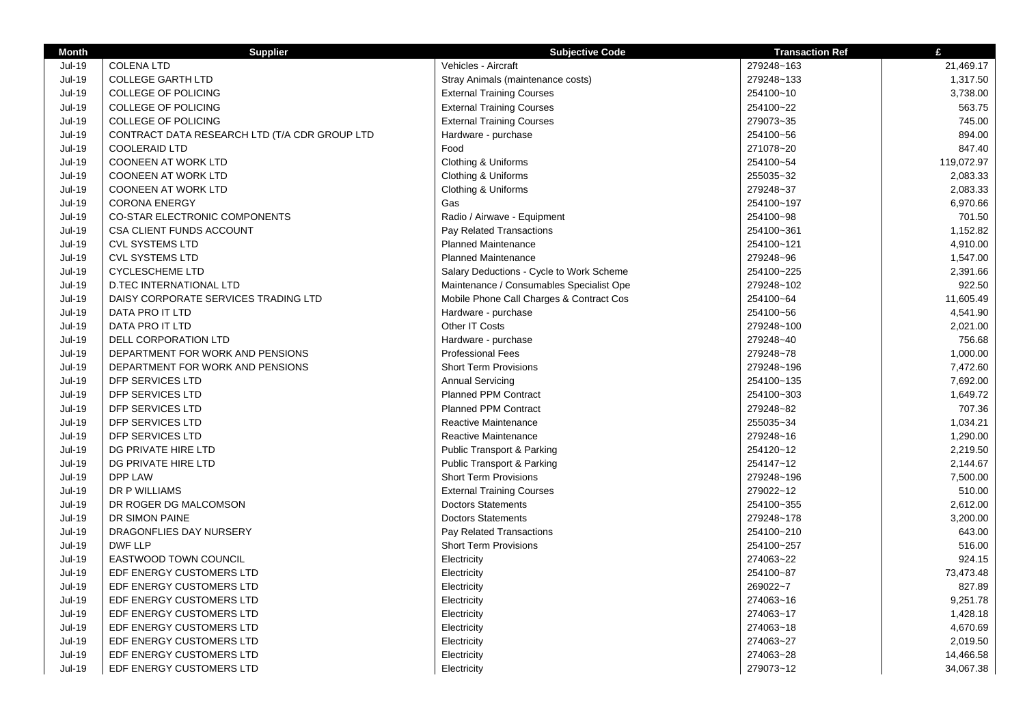| <b>Month</b>  | <b>Supplier</b>                               | <b>Subjective Code</b>                   | <b>Transaction Ref</b> | £          |
|---------------|-----------------------------------------------|------------------------------------------|------------------------|------------|
| $Jul-19$      | <b>COLENA LTD</b>                             | Vehicles - Aircraft                      | 279248~163             | 21,469.17  |
| <b>Jul-19</b> | COLLEGE GARTH LTD                             | Stray Animals (maintenance costs)        | 279248~133             | 1,317.50   |
| <b>Jul-19</b> | <b>COLLEGE OF POLICING</b>                    | <b>External Training Courses</b>         | 254100~10              | 3,738.00   |
| <b>Jul-19</b> | <b>COLLEGE OF POLICING</b>                    | <b>External Training Courses</b>         | 254100~22              | 563.75     |
| Jul-19        | <b>COLLEGE OF POLICING</b>                    | <b>External Training Courses</b>         | 279073~35              | 745.00     |
| <b>Jul-19</b> | CONTRACT DATA RESEARCH LTD (T/A CDR GROUP LTD | Hardware - purchase                      | 254100~56              | 894.00     |
| <b>Jul-19</b> | <b>COOLERAID LTD</b>                          | Food                                     | 271078~20              | 847.40     |
| <b>Jul-19</b> | <b>COONEEN AT WORK LTD</b>                    | Clothing & Uniforms                      | 254100~54              | 119,072.97 |
| Jul-19        | <b>COONEEN AT WORK LTD</b>                    | Clothing & Uniforms                      | 255035~32              | 2,083.33   |
| Jul-19        | <b>COONEEN AT WORK LTD</b>                    | Clothing & Uniforms                      | 279248~37              | 2,083.33   |
| <b>Jul-19</b> | <b>CORONA ENERGY</b>                          | Gas                                      | 254100~197             | 6,970.66   |
| Jul-19        | <b>CO-STAR ELECTRONIC COMPONENTS</b>          | Radio / Airwave - Equipment              | 254100~98              | 701.50     |
| <b>Jul-19</b> | CSA CLIENT FUNDS ACCOUNT                      | Pay Related Transactions                 | 254100~361             | 1,152.82   |
| Jul-19        | <b>CVL SYSTEMS LTD</b>                        | Planned Maintenance                      | 254100~121             | 4,910.00   |
| <b>Jul-19</b> | <b>CVL SYSTEMS LTD</b>                        | <b>Planned Maintenance</b>               | 279248~96              | 1,547.00   |
| <b>Jul-19</b> | <b>CYCLESCHEME LTD</b>                        | Salary Deductions - Cycle to Work Scheme | 254100~225             | 2,391.66   |
| <b>Jul-19</b> | <b>D.TEC INTERNATIONAL LTD</b>                | Maintenance / Consumables Specialist Ope | 279248~102             | 922.50     |
| <b>Jul-19</b> | DAISY CORPORATE SERVICES TRADING LTD          | Mobile Phone Call Charges & Contract Cos | 254100~64              | 11,605.49  |
| <b>Jul-19</b> | DATA PRO IT LTD                               | Hardware - purchase                      | 254100~56              | 4,541.90   |
| <b>Jul-19</b> | DATA PRO IT LTD                               | Other IT Costs                           | 279248~100             | 2,021.00   |
| <b>Jul-19</b> | DELL CORPORATION LTD                          | Hardware - purchase                      | 279248~40              | 756.68     |
| Jul-19        | DEPARTMENT FOR WORK AND PENSIONS              | <b>Professional Fees</b>                 | 279248~78              | 1,000.00   |
| Jul-19        | DEPARTMENT FOR WORK AND PENSIONS              | <b>Short Term Provisions</b>             | 279248~196             | 7,472.60   |
| Jul-19        | DFP SERVICES LTD                              | <b>Annual Servicing</b>                  | 254100~135             | 7,692.00   |
| Jul-19        | DFP SERVICES LTD                              | Planned PPM Contract                     | 254100~303             | 1,649.72   |
| Jul-19        | DFP SERVICES LTD                              | <b>Planned PPM Contract</b>              | 279248~82              | 707.36     |
| Jul-19        | DFP SERVICES LTD                              | Reactive Maintenance                     | 255035~34              | 1,034.21   |
| <b>Jul-19</b> | DFP SERVICES LTD                              | Reactive Maintenance                     | 279248~16              | 1,290.00   |
| Jul-19        | DG PRIVATE HIRE LTD                           | <b>Public Transport &amp; Parking</b>    | 254120~12              | 2,219.50   |
| $Jul-19$      | DG PRIVATE HIRE LTD                           | <b>Public Transport &amp; Parking</b>    | 254147~12              | 2,144.67   |
| Jul-19        | DPP LAW                                       | <b>Short Term Provisions</b>             | 279248~196             | 7,500.00   |
| $Jul-19$      | DR P WILLIAMS                                 | <b>External Training Courses</b>         | 279022~12              | 510.00     |
| $Jul-19$      | DR ROGER DG MALCOMSON                         | <b>Doctors Statements</b>                | 254100~355             | 2,612.00   |
| <b>Jul-19</b> | DR SIMON PAINE                                | <b>Doctors Statements</b>                | 279248~178             | 3,200.00   |
| $Jul-19$      | DRAGONFLIES DAY NURSERY                       | Pay Related Transactions                 | 254100~210             | 643.00     |
| <b>Jul-19</b> | DWF LLP                                       | <b>Short Term Provisions</b>             | 254100~257             | 516.00     |
| Jul-19        | EASTWOOD TOWN COUNCIL                         | Electricity                              | 274063~22              | 924.15     |
| <b>Jul-19</b> | EDF ENERGY CUSTOMERS LTD                      | Electricity                              | 254100~87              | 73,473.48  |
| <b>Jul-19</b> | EDF ENERGY CUSTOMERS LTD                      | Electricity                              | 269022~7               | 827.89     |
| $Jul-19$      | EDF ENERGY CUSTOMERS LTD                      | Electricity                              | 274063~16              | 9,251.78   |
| $Jul-19$      | EDF ENERGY CUSTOMERS LTD                      | Electricity                              | 274063~17              | 1,428.18   |
| <b>Jul-19</b> | EDF ENERGY CUSTOMERS LTD                      | Electricity                              | 274063~18              | 4,670.69   |
| <b>Jul-19</b> | EDF ENERGY CUSTOMERS LTD                      | Electricity                              | 274063~27              | 2,019.50   |
| Jul-19        | EDF ENERGY CUSTOMERS LTD                      | Electricity                              | 274063~28              | 14,466.58  |
| Jul-19        | EDF ENERGY CUSTOMERS LTD                      | Electricity                              | 279073~12              | 34,067.38  |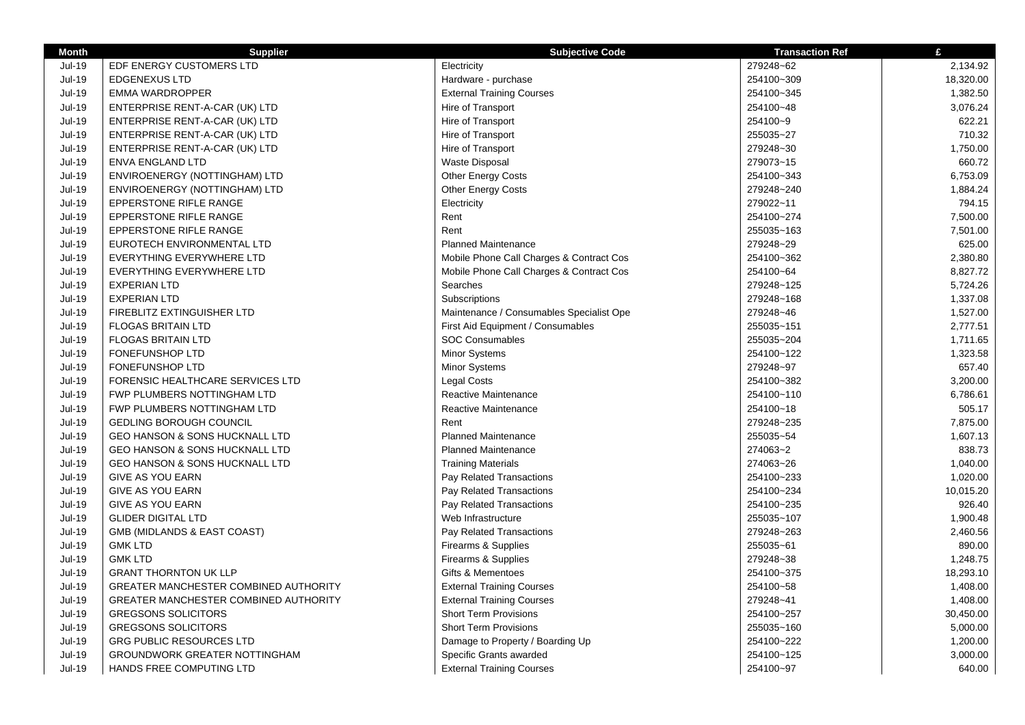| Jul-19<br>EDF ENERGY CUSTOMERS LTD<br>Electricity<br>279248~62<br>2,134.92<br><b>Jul-19</b><br>Hardware - purchase<br>254100~309<br>18,320.00<br><b>EDGENEXUS LTD</b><br><b>Jul-19</b><br>1,382.50<br><b>EMMA WARDROPPER</b><br><b>External Training Courses</b><br>254100~345<br><b>Jul-19</b><br>254100~48<br>3,076.24<br>ENTERPRISE RENT-A-CAR (UK) LTD<br>Hire of Transport<br><b>Jul-19</b><br>Hire of Transport<br>254100~9<br>622.21<br>ENTERPRISE RENT-A-CAR (UK) LTD<br><b>Jul-19</b><br>255035~27<br>710.32<br>ENTERPRISE RENT-A-CAR (UK) LTD<br>Hire of Transport<br>1,750.00<br>Jul-19<br>ENTERPRISE RENT-A-CAR (UK) LTD<br>Hire of Transport<br>279248~30<br><b>Jul-19</b><br>660.72<br><b>ENVA ENGLAND LTD</b><br><b>Waste Disposal</b><br>279073~15<br>$Jul-19$<br>ENVIROENERGY (NOTTINGHAM) LTD<br><b>Other Energy Costs</b><br>254100~343<br>6,753.09<br>Other Energy Costs<br><b>Jul-19</b><br>ENVIROENERGY (NOTTINGHAM) LTD<br>279248~240<br>1,884.24<br><b>Jul-19</b><br>794.15<br>EPPERSTONE RIFLE RANGE<br>Electricity<br>279022~11<br><b>Jul-19</b><br>Rent<br>EPPERSTONE RIFLE RANGE<br>254100~274<br>7,500.00<br>Rent<br>Jul-19<br>255035~163<br>7,501.00<br>EPPERSTONE RIFLE RANGE<br><b>Jul-19</b><br>625.00<br>EUROTECH ENVIRONMENTAL LTD<br><b>Planned Maintenance</b><br>279248~29<br>Jul-19<br>EVERYTHING EVERYWHERE LTD<br>Mobile Phone Call Charges & Contract Cos<br>254100~362<br>2,380.80<br><b>Jul-19</b><br>EVERYTHING EVERYWHERE LTD<br>Mobile Phone Call Charges & Contract Cos<br>254100~64<br>8,827.72<br>Jul-19<br><b>EXPERIAN LTD</b><br>Searches<br>279248~125<br>5,724.26<br>Jul-19<br><b>EXPERIAN LTD</b><br>Subscriptions<br>279248~168<br>1,337.08<br>Jul-19<br>FIREBLITZ EXTINGUISHER LTD<br>Maintenance / Consumables Specialist Ope<br>279248~46<br>1,527.00<br><b>Jul-19</b><br><b>FLOGAS BRITAIN LTD</b><br>First Aid Equipment / Consumables<br>255035~151<br>2,777.51<br><b>Jul-19</b><br><b>SOC Consumables</b><br><b>FLOGAS BRITAIN LTD</b><br>255035~204<br>1,711.65<br><b>Jul-19</b><br>FONEFUNSHOP LTD<br>Minor Systems<br>254100~122<br>1,323.58<br>657.40<br><b>Jul-19</b><br>Minor Systems<br>279248~97<br><b>FONEFUNSHOP LTD</b><br><b>Jul-19</b><br>Legal Costs<br>254100~382<br>3,200.00<br>FORENSIC HEALTHCARE SERVICES LTD<br><b>Jul-19</b><br>Reactive Maintenance<br>254100~110<br>FWP PLUMBERS NOTTINGHAM LTD<br>6,786.61<br><b>Jul-19</b><br>FWP PLUMBERS NOTTINGHAM LTD<br>Reactive Maintenance<br>254100~18<br>505.17<br><b>Jul-19</b><br>Rent<br>279248~235<br>7,875.00<br><b>GEDLING BOROUGH COUNCIL</b><br><b>Jul-19</b><br><b>Planned Maintenance</b><br>255035~54<br>1,607.13<br>GEO HANSON & SONS HUCKNALL LTD<br><b>Jul-19</b><br><b>Planned Maintenance</b><br>838.73<br>GEO HANSON & SONS HUCKNALL LTD<br>274063~2<br><b>Jul-19</b><br>274063~26<br>1,040.00<br>GEO HANSON & SONS HUCKNALL LTD<br><b>Training Materials</b><br><b>Jul-19</b><br>1,020.00<br>GIVE AS YOU EARN<br>Pay Related Transactions<br>254100~233<br><b>Jul-19</b><br>10,015.20<br>GIVE AS YOU EARN<br>Pay Related Transactions<br>254100~234<br><b>Jul-19</b><br>Pay Related Transactions<br>926.40<br>GIVE AS YOU EARN<br>254100~235<br><b>Jul-19</b><br>Web Infrastructure<br>255035~107<br>1,900.48<br><b>GLIDER DIGITAL LTD</b><br><b>Jul-19</b><br>GMB (MIDLANDS & EAST COAST)<br>Pay Related Transactions<br>279248~263<br>2,460.56<br><b>Jul-19</b><br>255035~61<br>890.00<br><b>GMK LTD</b><br>Firearms & Supplies<br><b>Jul-19</b><br><b>GMK LTD</b><br>Firearms & Supplies<br>279248~38<br>1,248.75<br><b>Jul-19</b><br><b>GRANT THORNTON UK LLP</b><br>Gifts & Mementoes<br>18,293.10<br>254100~375<br><b>Jul-19</b><br><b>GREATER MANCHESTER COMBINED AUTHORITY</b><br><b>External Training Courses</b><br>254100~58<br>1,408.00<br><b>Jul-19</b><br><b>External Training Courses</b><br>279248~41<br>1,408.00<br><b>GREATER MANCHESTER COMBINED AUTHORITY</b><br><b>Jul-19</b><br><b>GREGSONS SOLICITORS</b><br><b>Short Term Provisions</b><br>254100~257<br>30,450.00<br><b>Jul-19</b><br><b>GREGSONS SOLICITORS</b><br><b>Short Term Provisions</b><br>255035~160<br>5,000.00<br><b>Jul-19</b><br><b>GRG PUBLIC RESOURCES LTD</b><br>Damage to Property / Boarding Up<br>254100~222<br>1,200.00<br>$Jul-19$<br><b>GROUNDWORK GREATER NOTTINGHAM</b><br>Specific Grants awarded<br>254100~125<br>3,000.00 | <b>Month</b>  | <b>Supplier</b>          | <b>Subjective Code</b>           | <b>Transaction Ref</b> | £      |
|------------------------------------------------------------------------------------------------------------------------------------------------------------------------------------------------------------------------------------------------------------------------------------------------------------------------------------------------------------------------------------------------------------------------------------------------------------------------------------------------------------------------------------------------------------------------------------------------------------------------------------------------------------------------------------------------------------------------------------------------------------------------------------------------------------------------------------------------------------------------------------------------------------------------------------------------------------------------------------------------------------------------------------------------------------------------------------------------------------------------------------------------------------------------------------------------------------------------------------------------------------------------------------------------------------------------------------------------------------------------------------------------------------------------------------------------------------------------------------------------------------------------------------------------------------------------------------------------------------------------------------------------------------------------------------------------------------------------------------------------------------------------------------------------------------------------------------------------------------------------------------------------------------------------------------------------------------------------------------------------------------------------------------------------------------------------------------------------------------------------------------------------------------------------------------------------------------------------------------------------------------------------------------------------------------------------------------------------------------------------------------------------------------------------------------------------------------------------------------------------------------------------------------------------------------------------------------------------------------------------------------------------------------------------------------------------------------------------------------------------------------------------------------------------------------------------------------------------------------------------------------------------------------------------------------------------------------------------------------------------------------------------------------------------------------------------------------------------------------------------------------------------------------------------------------------------------------------------------------------------------------------------------------------------------------------------------------------------------------------------------------------------------------------------------------------------------------------------------------------------------------------------------------------------------------------------------------------------------------------------------------------------------------------------------------------------------------------------------------------------------------------------------------------------------------------------------------------------------------------------------------------------------------------------------------------------------------------------------------------------------------------------------------------------------------------------------------------------------------------------------------------------------------------------------------------------------------------------------------------------------------------------------------------------------------------------------------------------------------------------------------|---------------|--------------------------|----------------------------------|------------------------|--------|
|                                                                                                                                                                                                                                                                                                                                                                                                                                                                                                                                                                                                                                                                                                                                                                                                                                                                                                                                                                                                                                                                                                                                                                                                                                                                                                                                                                                                                                                                                                                                                                                                                                                                                                                                                                                                                                                                                                                                                                                                                                                                                                                                                                                                                                                                                                                                                                                                                                                                                                                                                                                                                                                                                                                                                                                                                                                                                                                                                                                                                                                                                                                                                                                                                                                                                                                                                                                                                                                                                                                                                                                                                                                                                                                                                                                                                                                                                                                                                                                                                                                                                                                                                                                                                                                                                                                                                                                    |               |                          |                                  |                        |        |
|                                                                                                                                                                                                                                                                                                                                                                                                                                                                                                                                                                                                                                                                                                                                                                                                                                                                                                                                                                                                                                                                                                                                                                                                                                                                                                                                                                                                                                                                                                                                                                                                                                                                                                                                                                                                                                                                                                                                                                                                                                                                                                                                                                                                                                                                                                                                                                                                                                                                                                                                                                                                                                                                                                                                                                                                                                                                                                                                                                                                                                                                                                                                                                                                                                                                                                                                                                                                                                                                                                                                                                                                                                                                                                                                                                                                                                                                                                                                                                                                                                                                                                                                                                                                                                                                                                                                                                                    |               |                          |                                  |                        |        |
|                                                                                                                                                                                                                                                                                                                                                                                                                                                                                                                                                                                                                                                                                                                                                                                                                                                                                                                                                                                                                                                                                                                                                                                                                                                                                                                                                                                                                                                                                                                                                                                                                                                                                                                                                                                                                                                                                                                                                                                                                                                                                                                                                                                                                                                                                                                                                                                                                                                                                                                                                                                                                                                                                                                                                                                                                                                                                                                                                                                                                                                                                                                                                                                                                                                                                                                                                                                                                                                                                                                                                                                                                                                                                                                                                                                                                                                                                                                                                                                                                                                                                                                                                                                                                                                                                                                                                                                    |               |                          |                                  |                        |        |
|                                                                                                                                                                                                                                                                                                                                                                                                                                                                                                                                                                                                                                                                                                                                                                                                                                                                                                                                                                                                                                                                                                                                                                                                                                                                                                                                                                                                                                                                                                                                                                                                                                                                                                                                                                                                                                                                                                                                                                                                                                                                                                                                                                                                                                                                                                                                                                                                                                                                                                                                                                                                                                                                                                                                                                                                                                                                                                                                                                                                                                                                                                                                                                                                                                                                                                                                                                                                                                                                                                                                                                                                                                                                                                                                                                                                                                                                                                                                                                                                                                                                                                                                                                                                                                                                                                                                                                                    |               |                          |                                  |                        |        |
|                                                                                                                                                                                                                                                                                                                                                                                                                                                                                                                                                                                                                                                                                                                                                                                                                                                                                                                                                                                                                                                                                                                                                                                                                                                                                                                                                                                                                                                                                                                                                                                                                                                                                                                                                                                                                                                                                                                                                                                                                                                                                                                                                                                                                                                                                                                                                                                                                                                                                                                                                                                                                                                                                                                                                                                                                                                                                                                                                                                                                                                                                                                                                                                                                                                                                                                                                                                                                                                                                                                                                                                                                                                                                                                                                                                                                                                                                                                                                                                                                                                                                                                                                                                                                                                                                                                                                                                    |               |                          |                                  |                        |        |
|                                                                                                                                                                                                                                                                                                                                                                                                                                                                                                                                                                                                                                                                                                                                                                                                                                                                                                                                                                                                                                                                                                                                                                                                                                                                                                                                                                                                                                                                                                                                                                                                                                                                                                                                                                                                                                                                                                                                                                                                                                                                                                                                                                                                                                                                                                                                                                                                                                                                                                                                                                                                                                                                                                                                                                                                                                                                                                                                                                                                                                                                                                                                                                                                                                                                                                                                                                                                                                                                                                                                                                                                                                                                                                                                                                                                                                                                                                                                                                                                                                                                                                                                                                                                                                                                                                                                                                                    |               |                          |                                  |                        |        |
|                                                                                                                                                                                                                                                                                                                                                                                                                                                                                                                                                                                                                                                                                                                                                                                                                                                                                                                                                                                                                                                                                                                                                                                                                                                                                                                                                                                                                                                                                                                                                                                                                                                                                                                                                                                                                                                                                                                                                                                                                                                                                                                                                                                                                                                                                                                                                                                                                                                                                                                                                                                                                                                                                                                                                                                                                                                                                                                                                                                                                                                                                                                                                                                                                                                                                                                                                                                                                                                                                                                                                                                                                                                                                                                                                                                                                                                                                                                                                                                                                                                                                                                                                                                                                                                                                                                                                                                    |               |                          |                                  |                        |        |
|                                                                                                                                                                                                                                                                                                                                                                                                                                                                                                                                                                                                                                                                                                                                                                                                                                                                                                                                                                                                                                                                                                                                                                                                                                                                                                                                                                                                                                                                                                                                                                                                                                                                                                                                                                                                                                                                                                                                                                                                                                                                                                                                                                                                                                                                                                                                                                                                                                                                                                                                                                                                                                                                                                                                                                                                                                                                                                                                                                                                                                                                                                                                                                                                                                                                                                                                                                                                                                                                                                                                                                                                                                                                                                                                                                                                                                                                                                                                                                                                                                                                                                                                                                                                                                                                                                                                                                                    |               |                          |                                  |                        |        |
|                                                                                                                                                                                                                                                                                                                                                                                                                                                                                                                                                                                                                                                                                                                                                                                                                                                                                                                                                                                                                                                                                                                                                                                                                                                                                                                                                                                                                                                                                                                                                                                                                                                                                                                                                                                                                                                                                                                                                                                                                                                                                                                                                                                                                                                                                                                                                                                                                                                                                                                                                                                                                                                                                                                                                                                                                                                                                                                                                                                                                                                                                                                                                                                                                                                                                                                                                                                                                                                                                                                                                                                                                                                                                                                                                                                                                                                                                                                                                                                                                                                                                                                                                                                                                                                                                                                                                                                    |               |                          |                                  |                        |        |
|                                                                                                                                                                                                                                                                                                                                                                                                                                                                                                                                                                                                                                                                                                                                                                                                                                                                                                                                                                                                                                                                                                                                                                                                                                                                                                                                                                                                                                                                                                                                                                                                                                                                                                                                                                                                                                                                                                                                                                                                                                                                                                                                                                                                                                                                                                                                                                                                                                                                                                                                                                                                                                                                                                                                                                                                                                                                                                                                                                                                                                                                                                                                                                                                                                                                                                                                                                                                                                                                                                                                                                                                                                                                                                                                                                                                                                                                                                                                                                                                                                                                                                                                                                                                                                                                                                                                                                                    |               |                          |                                  |                        |        |
|                                                                                                                                                                                                                                                                                                                                                                                                                                                                                                                                                                                                                                                                                                                                                                                                                                                                                                                                                                                                                                                                                                                                                                                                                                                                                                                                                                                                                                                                                                                                                                                                                                                                                                                                                                                                                                                                                                                                                                                                                                                                                                                                                                                                                                                                                                                                                                                                                                                                                                                                                                                                                                                                                                                                                                                                                                                                                                                                                                                                                                                                                                                                                                                                                                                                                                                                                                                                                                                                                                                                                                                                                                                                                                                                                                                                                                                                                                                                                                                                                                                                                                                                                                                                                                                                                                                                                                                    |               |                          |                                  |                        |        |
|                                                                                                                                                                                                                                                                                                                                                                                                                                                                                                                                                                                                                                                                                                                                                                                                                                                                                                                                                                                                                                                                                                                                                                                                                                                                                                                                                                                                                                                                                                                                                                                                                                                                                                                                                                                                                                                                                                                                                                                                                                                                                                                                                                                                                                                                                                                                                                                                                                                                                                                                                                                                                                                                                                                                                                                                                                                                                                                                                                                                                                                                                                                                                                                                                                                                                                                                                                                                                                                                                                                                                                                                                                                                                                                                                                                                                                                                                                                                                                                                                                                                                                                                                                                                                                                                                                                                                                                    |               |                          |                                  |                        |        |
|                                                                                                                                                                                                                                                                                                                                                                                                                                                                                                                                                                                                                                                                                                                                                                                                                                                                                                                                                                                                                                                                                                                                                                                                                                                                                                                                                                                                                                                                                                                                                                                                                                                                                                                                                                                                                                                                                                                                                                                                                                                                                                                                                                                                                                                                                                                                                                                                                                                                                                                                                                                                                                                                                                                                                                                                                                                                                                                                                                                                                                                                                                                                                                                                                                                                                                                                                                                                                                                                                                                                                                                                                                                                                                                                                                                                                                                                                                                                                                                                                                                                                                                                                                                                                                                                                                                                                                                    |               |                          |                                  |                        |        |
|                                                                                                                                                                                                                                                                                                                                                                                                                                                                                                                                                                                                                                                                                                                                                                                                                                                                                                                                                                                                                                                                                                                                                                                                                                                                                                                                                                                                                                                                                                                                                                                                                                                                                                                                                                                                                                                                                                                                                                                                                                                                                                                                                                                                                                                                                                                                                                                                                                                                                                                                                                                                                                                                                                                                                                                                                                                                                                                                                                                                                                                                                                                                                                                                                                                                                                                                                                                                                                                                                                                                                                                                                                                                                                                                                                                                                                                                                                                                                                                                                                                                                                                                                                                                                                                                                                                                                                                    |               |                          |                                  |                        |        |
|                                                                                                                                                                                                                                                                                                                                                                                                                                                                                                                                                                                                                                                                                                                                                                                                                                                                                                                                                                                                                                                                                                                                                                                                                                                                                                                                                                                                                                                                                                                                                                                                                                                                                                                                                                                                                                                                                                                                                                                                                                                                                                                                                                                                                                                                                                                                                                                                                                                                                                                                                                                                                                                                                                                                                                                                                                                                                                                                                                                                                                                                                                                                                                                                                                                                                                                                                                                                                                                                                                                                                                                                                                                                                                                                                                                                                                                                                                                                                                                                                                                                                                                                                                                                                                                                                                                                                                                    |               |                          |                                  |                        |        |
|                                                                                                                                                                                                                                                                                                                                                                                                                                                                                                                                                                                                                                                                                                                                                                                                                                                                                                                                                                                                                                                                                                                                                                                                                                                                                                                                                                                                                                                                                                                                                                                                                                                                                                                                                                                                                                                                                                                                                                                                                                                                                                                                                                                                                                                                                                                                                                                                                                                                                                                                                                                                                                                                                                                                                                                                                                                                                                                                                                                                                                                                                                                                                                                                                                                                                                                                                                                                                                                                                                                                                                                                                                                                                                                                                                                                                                                                                                                                                                                                                                                                                                                                                                                                                                                                                                                                                                                    |               |                          |                                  |                        |        |
|                                                                                                                                                                                                                                                                                                                                                                                                                                                                                                                                                                                                                                                                                                                                                                                                                                                                                                                                                                                                                                                                                                                                                                                                                                                                                                                                                                                                                                                                                                                                                                                                                                                                                                                                                                                                                                                                                                                                                                                                                                                                                                                                                                                                                                                                                                                                                                                                                                                                                                                                                                                                                                                                                                                                                                                                                                                                                                                                                                                                                                                                                                                                                                                                                                                                                                                                                                                                                                                                                                                                                                                                                                                                                                                                                                                                                                                                                                                                                                                                                                                                                                                                                                                                                                                                                                                                                                                    |               |                          |                                  |                        |        |
|                                                                                                                                                                                                                                                                                                                                                                                                                                                                                                                                                                                                                                                                                                                                                                                                                                                                                                                                                                                                                                                                                                                                                                                                                                                                                                                                                                                                                                                                                                                                                                                                                                                                                                                                                                                                                                                                                                                                                                                                                                                                                                                                                                                                                                                                                                                                                                                                                                                                                                                                                                                                                                                                                                                                                                                                                                                                                                                                                                                                                                                                                                                                                                                                                                                                                                                                                                                                                                                                                                                                                                                                                                                                                                                                                                                                                                                                                                                                                                                                                                                                                                                                                                                                                                                                                                                                                                                    |               |                          |                                  |                        |        |
|                                                                                                                                                                                                                                                                                                                                                                                                                                                                                                                                                                                                                                                                                                                                                                                                                                                                                                                                                                                                                                                                                                                                                                                                                                                                                                                                                                                                                                                                                                                                                                                                                                                                                                                                                                                                                                                                                                                                                                                                                                                                                                                                                                                                                                                                                                                                                                                                                                                                                                                                                                                                                                                                                                                                                                                                                                                                                                                                                                                                                                                                                                                                                                                                                                                                                                                                                                                                                                                                                                                                                                                                                                                                                                                                                                                                                                                                                                                                                                                                                                                                                                                                                                                                                                                                                                                                                                                    |               |                          |                                  |                        |        |
|                                                                                                                                                                                                                                                                                                                                                                                                                                                                                                                                                                                                                                                                                                                                                                                                                                                                                                                                                                                                                                                                                                                                                                                                                                                                                                                                                                                                                                                                                                                                                                                                                                                                                                                                                                                                                                                                                                                                                                                                                                                                                                                                                                                                                                                                                                                                                                                                                                                                                                                                                                                                                                                                                                                                                                                                                                                                                                                                                                                                                                                                                                                                                                                                                                                                                                                                                                                                                                                                                                                                                                                                                                                                                                                                                                                                                                                                                                                                                                                                                                                                                                                                                                                                                                                                                                                                                                                    |               |                          |                                  |                        |        |
|                                                                                                                                                                                                                                                                                                                                                                                                                                                                                                                                                                                                                                                                                                                                                                                                                                                                                                                                                                                                                                                                                                                                                                                                                                                                                                                                                                                                                                                                                                                                                                                                                                                                                                                                                                                                                                                                                                                                                                                                                                                                                                                                                                                                                                                                                                                                                                                                                                                                                                                                                                                                                                                                                                                                                                                                                                                                                                                                                                                                                                                                                                                                                                                                                                                                                                                                                                                                                                                                                                                                                                                                                                                                                                                                                                                                                                                                                                                                                                                                                                                                                                                                                                                                                                                                                                                                                                                    |               |                          |                                  |                        |        |
|                                                                                                                                                                                                                                                                                                                                                                                                                                                                                                                                                                                                                                                                                                                                                                                                                                                                                                                                                                                                                                                                                                                                                                                                                                                                                                                                                                                                                                                                                                                                                                                                                                                                                                                                                                                                                                                                                                                                                                                                                                                                                                                                                                                                                                                                                                                                                                                                                                                                                                                                                                                                                                                                                                                                                                                                                                                                                                                                                                                                                                                                                                                                                                                                                                                                                                                                                                                                                                                                                                                                                                                                                                                                                                                                                                                                                                                                                                                                                                                                                                                                                                                                                                                                                                                                                                                                                                                    |               |                          |                                  |                        |        |
|                                                                                                                                                                                                                                                                                                                                                                                                                                                                                                                                                                                                                                                                                                                                                                                                                                                                                                                                                                                                                                                                                                                                                                                                                                                                                                                                                                                                                                                                                                                                                                                                                                                                                                                                                                                                                                                                                                                                                                                                                                                                                                                                                                                                                                                                                                                                                                                                                                                                                                                                                                                                                                                                                                                                                                                                                                                                                                                                                                                                                                                                                                                                                                                                                                                                                                                                                                                                                                                                                                                                                                                                                                                                                                                                                                                                                                                                                                                                                                                                                                                                                                                                                                                                                                                                                                                                                                                    |               |                          |                                  |                        |        |
|                                                                                                                                                                                                                                                                                                                                                                                                                                                                                                                                                                                                                                                                                                                                                                                                                                                                                                                                                                                                                                                                                                                                                                                                                                                                                                                                                                                                                                                                                                                                                                                                                                                                                                                                                                                                                                                                                                                                                                                                                                                                                                                                                                                                                                                                                                                                                                                                                                                                                                                                                                                                                                                                                                                                                                                                                                                                                                                                                                                                                                                                                                                                                                                                                                                                                                                                                                                                                                                                                                                                                                                                                                                                                                                                                                                                                                                                                                                                                                                                                                                                                                                                                                                                                                                                                                                                                                                    |               |                          |                                  |                        |        |
|                                                                                                                                                                                                                                                                                                                                                                                                                                                                                                                                                                                                                                                                                                                                                                                                                                                                                                                                                                                                                                                                                                                                                                                                                                                                                                                                                                                                                                                                                                                                                                                                                                                                                                                                                                                                                                                                                                                                                                                                                                                                                                                                                                                                                                                                                                                                                                                                                                                                                                                                                                                                                                                                                                                                                                                                                                                                                                                                                                                                                                                                                                                                                                                                                                                                                                                                                                                                                                                                                                                                                                                                                                                                                                                                                                                                                                                                                                                                                                                                                                                                                                                                                                                                                                                                                                                                                                                    |               |                          |                                  |                        |        |
|                                                                                                                                                                                                                                                                                                                                                                                                                                                                                                                                                                                                                                                                                                                                                                                                                                                                                                                                                                                                                                                                                                                                                                                                                                                                                                                                                                                                                                                                                                                                                                                                                                                                                                                                                                                                                                                                                                                                                                                                                                                                                                                                                                                                                                                                                                                                                                                                                                                                                                                                                                                                                                                                                                                                                                                                                                                                                                                                                                                                                                                                                                                                                                                                                                                                                                                                                                                                                                                                                                                                                                                                                                                                                                                                                                                                                                                                                                                                                                                                                                                                                                                                                                                                                                                                                                                                                                                    |               |                          |                                  |                        |        |
|                                                                                                                                                                                                                                                                                                                                                                                                                                                                                                                                                                                                                                                                                                                                                                                                                                                                                                                                                                                                                                                                                                                                                                                                                                                                                                                                                                                                                                                                                                                                                                                                                                                                                                                                                                                                                                                                                                                                                                                                                                                                                                                                                                                                                                                                                                                                                                                                                                                                                                                                                                                                                                                                                                                                                                                                                                                                                                                                                                                                                                                                                                                                                                                                                                                                                                                                                                                                                                                                                                                                                                                                                                                                                                                                                                                                                                                                                                                                                                                                                                                                                                                                                                                                                                                                                                                                                                                    |               |                          |                                  |                        |        |
|                                                                                                                                                                                                                                                                                                                                                                                                                                                                                                                                                                                                                                                                                                                                                                                                                                                                                                                                                                                                                                                                                                                                                                                                                                                                                                                                                                                                                                                                                                                                                                                                                                                                                                                                                                                                                                                                                                                                                                                                                                                                                                                                                                                                                                                                                                                                                                                                                                                                                                                                                                                                                                                                                                                                                                                                                                                                                                                                                                                                                                                                                                                                                                                                                                                                                                                                                                                                                                                                                                                                                                                                                                                                                                                                                                                                                                                                                                                                                                                                                                                                                                                                                                                                                                                                                                                                                                                    |               |                          |                                  |                        |        |
|                                                                                                                                                                                                                                                                                                                                                                                                                                                                                                                                                                                                                                                                                                                                                                                                                                                                                                                                                                                                                                                                                                                                                                                                                                                                                                                                                                                                                                                                                                                                                                                                                                                                                                                                                                                                                                                                                                                                                                                                                                                                                                                                                                                                                                                                                                                                                                                                                                                                                                                                                                                                                                                                                                                                                                                                                                                                                                                                                                                                                                                                                                                                                                                                                                                                                                                                                                                                                                                                                                                                                                                                                                                                                                                                                                                                                                                                                                                                                                                                                                                                                                                                                                                                                                                                                                                                                                                    |               |                          |                                  |                        |        |
|                                                                                                                                                                                                                                                                                                                                                                                                                                                                                                                                                                                                                                                                                                                                                                                                                                                                                                                                                                                                                                                                                                                                                                                                                                                                                                                                                                                                                                                                                                                                                                                                                                                                                                                                                                                                                                                                                                                                                                                                                                                                                                                                                                                                                                                                                                                                                                                                                                                                                                                                                                                                                                                                                                                                                                                                                                                                                                                                                                                                                                                                                                                                                                                                                                                                                                                                                                                                                                                                                                                                                                                                                                                                                                                                                                                                                                                                                                                                                                                                                                                                                                                                                                                                                                                                                                                                                                                    |               |                          |                                  |                        |        |
|                                                                                                                                                                                                                                                                                                                                                                                                                                                                                                                                                                                                                                                                                                                                                                                                                                                                                                                                                                                                                                                                                                                                                                                                                                                                                                                                                                                                                                                                                                                                                                                                                                                                                                                                                                                                                                                                                                                                                                                                                                                                                                                                                                                                                                                                                                                                                                                                                                                                                                                                                                                                                                                                                                                                                                                                                                                                                                                                                                                                                                                                                                                                                                                                                                                                                                                                                                                                                                                                                                                                                                                                                                                                                                                                                                                                                                                                                                                                                                                                                                                                                                                                                                                                                                                                                                                                                                                    |               |                          |                                  |                        |        |
|                                                                                                                                                                                                                                                                                                                                                                                                                                                                                                                                                                                                                                                                                                                                                                                                                                                                                                                                                                                                                                                                                                                                                                                                                                                                                                                                                                                                                                                                                                                                                                                                                                                                                                                                                                                                                                                                                                                                                                                                                                                                                                                                                                                                                                                                                                                                                                                                                                                                                                                                                                                                                                                                                                                                                                                                                                                                                                                                                                                                                                                                                                                                                                                                                                                                                                                                                                                                                                                                                                                                                                                                                                                                                                                                                                                                                                                                                                                                                                                                                                                                                                                                                                                                                                                                                                                                                                                    |               |                          |                                  |                        |        |
|                                                                                                                                                                                                                                                                                                                                                                                                                                                                                                                                                                                                                                                                                                                                                                                                                                                                                                                                                                                                                                                                                                                                                                                                                                                                                                                                                                                                                                                                                                                                                                                                                                                                                                                                                                                                                                                                                                                                                                                                                                                                                                                                                                                                                                                                                                                                                                                                                                                                                                                                                                                                                                                                                                                                                                                                                                                                                                                                                                                                                                                                                                                                                                                                                                                                                                                                                                                                                                                                                                                                                                                                                                                                                                                                                                                                                                                                                                                                                                                                                                                                                                                                                                                                                                                                                                                                                                                    |               |                          |                                  |                        |        |
|                                                                                                                                                                                                                                                                                                                                                                                                                                                                                                                                                                                                                                                                                                                                                                                                                                                                                                                                                                                                                                                                                                                                                                                                                                                                                                                                                                                                                                                                                                                                                                                                                                                                                                                                                                                                                                                                                                                                                                                                                                                                                                                                                                                                                                                                                                                                                                                                                                                                                                                                                                                                                                                                                                                                                                                                                                                                                                                                                                                                                                                                                                                                                                                                                                                                                                                                                                                                                                                                                                                                                                                                                                                                                                                                                                                                                                                                                                                                                                                                                                                                                                                                                                                                                                                                                                                                                                                    |               |                          |                                  |                        |        |
|                                                                                                                                                                                                                                                                                                                                                                                                                                                                                                                                                                                                                                                                                                                                                                                                                                                                                                                                                                                                                                                                                                                                                                                                                                                                                                                                                                                                                                                                                                                                                                                                                                                                                                                                                                                                                                                                                                                                                                                                                                                                                                                                                                                                                                                                                                                                                                                                                                                                                                                                                                                                                                                                                                                                                                                                                                                                                                                                                                                                                                                                                                                                                                                                                                                                                                                                                                                                                                                                                                                                                                                                                                                                                                                                                                                                                                                                                                                                                                                                                                                                                                                                                                                                                                                                                                                                                                                    |               |                          |                                  |                        |        |
|                                                                                                                                                                                                                                                                                                                                                                                                                                                                                                                                                                                                                                                                                                                                                                                                                                                                                                                                                                                                                                                                                                                                                                                                                                                                                                                                                                                                                                                                                                                                                                                                                                                                                                                                                                                                                                                                                                                                                                                                                                                                                                                                                                                                                                                                                                                                                                                                                                                                                                                                                                                                                                                                                                                                                                                                                                                                                                                                                                                                                                                                                                                                                                                                                                                                                                                                                                                                                                                                                                                                                                                                                                                                                                                                                                                                                                                                                                                                                                                                                                                                                                                                                                                                                                                                                                                                                                                    |               |                          |                                  |                        |        |
|                                                                                                                                                                                                                                                                                                                                                                                                                                                                                                                                                                                                                                                                                                                                                                                                                                                                                                                                                                                                                                                                                                                                                                                                                                                                                                                                                                                                                                                                                                                                                                                                                                                                                                                                                                                                                                                                                                                                                                                                                                                                                                                                                                                                                                                                                                                                                                                                                                                                                                                                                                                                                                                                                                                                                                                                                                                                                                                                                                                                                                                                                                                                                                                                                                                                                                                                                                                                                                                                                                                                                                                                                                                                                                                                                                                                                                                                                                                                                                                                                                                                                                                                                                                                                                                                                                                                                                                    |               |                          |                                  |                        |        |
|                                                                                                                                                                                                                                                                                                                                                                                                                                                                                                                                                                                                                                                                                                                                                                                                                                                                                                                                                                                                                                                                                                                                                                                                                                                                                                                                                                                                                                                                                                                                                                                                                                                                                                                                                                                                                                                                                                                                                                                                                                                                                                                                                                                                                                                                                                                                                                                                                                                                                                                                                                                                                                                                                                                                                                                                                                                                                                                                                                                                                                                                                                                                                                                                                                                                                                                                                                                                                                                                                                                                                                                                                                                                                                                                                                                                                                                                                                                                                                                                                                                                                                                                                                                                                                                                                                                                                                                    |               |                          |                                  |                        |        |
|                                                                                                                                                                                                                                                                                                                                                                                                                                                                                                                                                                                                                                                                                                                                                                                                                                                                                                                                                                                                                                                                                                                                                                                                                                                                                                                                                                                                                                                                                                                                                                                                                                                                                                                                                                                                                                                                                                                                                                                                                                                                                                                                                                                                                                                                                                                                                                                                                                                                                                                                                                                                                                                                                                                                                                                                                                                                                                                                                                                                                                                                                                                                                                                                                                                                                                                                                                                                                                                                                                                                                                                                                                                                                                                                                                                                                                                                                                                                                                                                                                                                                                                                                                                                                                                                                                                                                                                    |               |                          |                                  |                        |        |
|                                                                                                                                                                                                                                                                                                                                                                                                                                                                                                                                                                                                                                                                                                                                                                                                                                                                                                                                                                                                                                                                                                                                                                                                                                                                                                                                                                                                                                                                                                                                                                                                                                                                                                                                                                                                                                                                                                                                                                                                                                                                                                                                                                                                                                                                                                                                                                                                                                                                                                                                                                                                                                                                                                                                                                                                                                                                                                                                                                                                                                                                                                                                                                                                                                                                                                                                                                                                                                                                                                                                                                                                                                                                                                                                                                                                                                                                                                                                                                                                                                                                                                                                                                                                                                                                                                                                                                                    |               |                          |                                  |                        |        |
|                                                                                                                                                                                                                                                                                                                                                                                                                                                                                                                                                                                                                                                                                                                                                                                                                                                                                                                                                                                                                                                                                                                                                                                                                                                                                                                                                                                                                                                                                                                                                                                                                                                                                                                                                                                                                                                                                                                                                                                                                                                                                                                                                                                                                                                                                                                                                                                                                                                                                                                                                                                                                                                                                                                                                                                                                                                                                                                                                                                                                                                                                                                                                                                                                                                                                                                                                                                                                                                                                                                                                                                                                                                                                                                                                                                                                                                                                                                                                                                                                                                                                                                                                                                                                                                                                                                                                                                    |               |                          |                                  |                        |        |
|                                                                                                                                                                                                                                                                                                                                                                                                                                                                                                                                                                                                                                                                                                                                                                                                                                                                                                                                                                                                                                                                                                                                                                                                                                                                                                                                                                                                                                                                                                                                                                                                                                                                                                                                                                                                                                                                                                                                                                                                                                                                                                                                                                                                                                                                                                                                                                                                                                                                                                                                                                                                                                                                                                                                                                                                                                                                                                                                                                                                                                                                                                                                                                                                                                                                                                                                                                                                                                                                                                                                                                                                                                                                                                                                                                                                                                                                                                                                                                                                                                                                                                                                                                                                                                                                                                                                                                                    |               |                          |                                  |                        |        |
|                                                                                                                                                                                                                                                                                                                                                                                                                                                                                                                                                                                                                                                                                                                                                                                                                                                                                                                                                                                                                                                                                                                                                                                                                                                                                                                                                                                                                                                                                                                                                                                                                                                                                                                                                                                                                                                                                                                                                                                                                                                                                                                                                                                                                                                                                                                                                                                                                                                                                                                                                                                                                                                                                                                                                                                                                                                                                                                                                                                                                                                                                                                                                                                                                                                                                                                                                                                                                                                                                                                                                                                                                                                                                                                                                                                                                                                                                                                                                                                                                                                                                                                                                                                                                                                                                                                                                                                    |               |                          |                                  |                        |        |
|                                                                                                                                                                                                                                                                                                                                                                                                                                                                                                                                                                                                                                                                                                                                                                                                                                                                                                                                                                                                                                                                                                                                                                                                                                                                                                                                                                                                                                                                                                                                                                                                                                                                                                                                                                                                                                                                                                                                                                                                                                                                                                                                                                                                                                                                                                                                                                                                                                                                                                                                                                                                                                                                                                                                                                                                                                                                                                                                                                                                                                                                                                                                                                                                                                                                                                                                                                                                                                                                                                                                                                                                                                                                                                                                                                                                                                                                                                                                                                                                                                                                                                                                                                                                                                                                                                                                                                                    |               |                          |                                  |                        |        |
|                                                                                                                                                                                                                                                                                                                                                                                                                                                                                                                                                                                                                                                                                                                                                                                                                                                                                                                                                                                                                                                                                                                                                                                                                                                                                                                                                                                                                                                                                                                                                                                                                                                                                                                                                                                                                                                                                                                                                                                                                                                                                                                                                                                                                                                                                                                                                                                                                                                                                                                                                                                                                                                                                                                                                                                                                                                                                                                                                                                                                                                                                                                                                                                                                                                                                                                                                                                                                                                                                                                                                                                                                                                                                                                                                                                                                                                                                                                                                                                                                                                                                                                                                                                                                                                                                                                                                                                    | <b>Jul-19</b> | HANDS FREE COMPUTING LTD | <b>External Training Courses</b> | 254100~97              | 640.00 |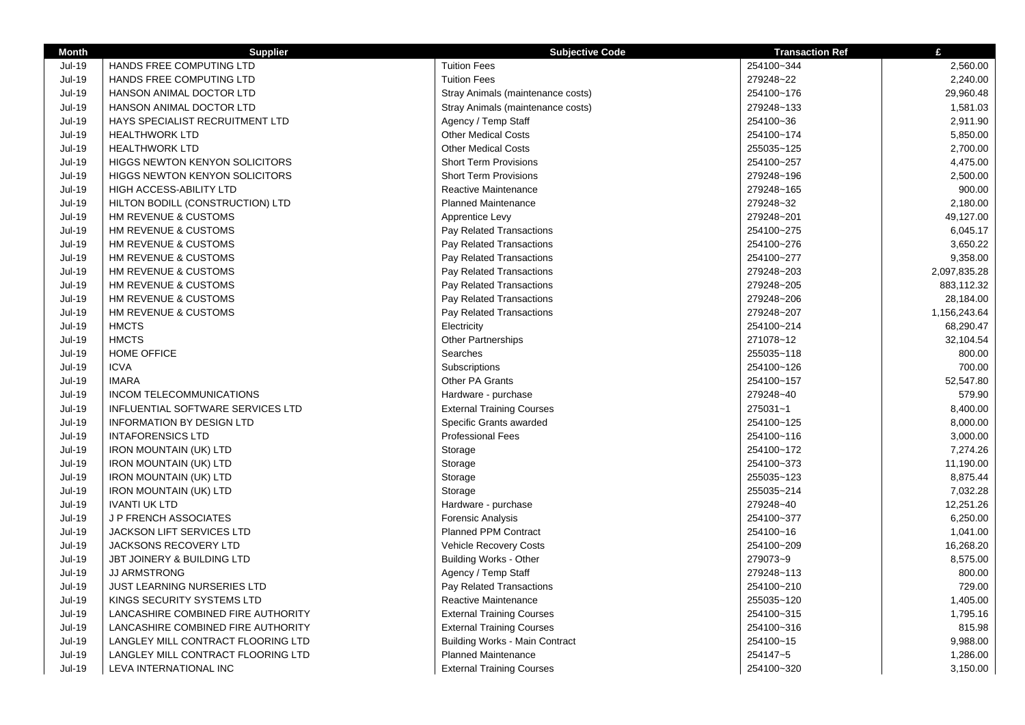| <b>Month</b>  | <b>Supplier</b>                       | <b>Subjective Code</b>                | <b>Transaction Ref</b> | £            |
|---------------|---------------------------------------|---------------------------------------|------------------------|--------------|
| Jul-19        | HANDS FREE COMPUTING LTD              | <b>Tuition Fees</b>                   | 254100~344             | 2,560.00     |
| <b>Jul-19</b> | HANDS FREE COMPUTING LTD              | <b>Tuition Fees</b>                   | 279248~22              | 2,240.00     |
| Jul-19        | HANSON ANIMAL DOCTOR LTD              | Stray Animals (maintenance costs)     | 254100~176             | 29,960.48    |
| <b>Jul-19</b> | HANSON ANIMAL DOCTOR LTD              | Stray Animals (maintenance costs)     | 279248~133             | 1,581.03     |
| Jul-19        | HAYS SPECIALIST RECRUITMENT LTD       | Agency / Temp Staff                   | 254100~36              | 2,911.90     |
| <b>Jul-19</b> | <b>HEALTHWORK LTD</b>                 | <b>Other Medical Costs</b>            | 254100~174             | 5,850.00     |
| <b>Jul-19</b> | <b>HEALTHWORK LTD</b>                 | <b>Other Medical Costs</b>            | 255035~125             | 2,700.00     |
| Jul-19        | <b>HIGGS NEWTON KENYON SOLICITORS</b> | <b>Short Term Provisions</b>          | 254100~257             | 4,475.00     |
| $Jul-19$      | <b>HIGGS NEWTON KENYON SOLICITORS</b> | <b>Short Term Provisions</b>          | 279248~196             | 2,500.00     |
| <b>Jul-19</b> | HIGH ACCESS-ABILITY LTD               | Reactive Maintenance                  | 279248~165             | 900.00       |
| Jul-19        | HILTON BODILL (CONSTRUCTION) LTD      | <b>Planned Maintenance</b>            | 279248~32              | 2,180.00     |
| <b>Jul-19</b> | HM REVENUE & CUSTOMS                  | Apprentice Levy                       | 279248~201             | 49,127.00    |
| Jul-19        | HM REVENUE & CUSTOMS                  | Pay Related Transactions              | 254100~275             | 6,045.17     |
| <b>Jul-19</b> | HM REVENUE & CUSTOMS                  | Pay Related Transactions              | 254100~276             | 3,650.22     |
| <b>Jul-19</b> | HM REVENUE & CUSTOMS                  | Pay Related Transactions              | 254100~277             | 9,358.00     |
| Jul-19        | HM REVENUE & CUSTOMS                  | Pay Related Transactions              | 279248~203             | 2,097,835.28 |
| <b>Jul-19</b> | HM REVENUE & CUSTOMS                  | Pay Related Transactions              | 279248~205             | 883,112.32   |
| <b>Jul-19</b> | HM REVENUE & CUSTOMS                  | Pay Related Transactions              | 279248~206             | 28,184.00    |
| Jul-19        | HM REVENUE & CUSTOMS                  | Pay Related Transactions              | 279248~207             | 1,156,243.64 |
| Jul-19        | <b>HMCTS</b>                          | Electricity                           | 254100~214             | 68,290.47    |
| Jul-19        | <b>HMCTS</b>                          | <b>Other Partnerships</b>             | 271078~12              | 32,104.54    |
| Jul-19        | <b>HOME OFFICE</b>                    | Searches                              | 255035~118             | 800.00       |
| <b>Jul-19</b> | <b>ICVA</b>                           | Subscriptions                         | 254100~126             | 700.00       |
| <b>Jul-19</b> | <b>IMARA</b>                          | Other PA Grants                       | 254100~157             | 52,547.80    |
| <b>Jul-19</b> | <b>INCOM TELECOMMUNICATIONS</b>       | Hardware - purchase                   | 279248~40              | 579.90       |
| Jul-19        | INFLUENTIAL SOFTWARE SERVICES LTD     | <b>External Training Courses</b>      | 275031~1               | 8,400.00     |
| <b>Jul-19</b> | <b>INFORMATION BY DESIGN LTD</b>      | Specific Grants awarded               | 254100~125             | 8,000.00     |
| <b>Jul-19</b> | <b>INTAFORENSICS LTD</b>              | <b>Professional Fees</b>              | 254100~116             | 3,000.00     |
| <b>Jul-19</b> | <b>IRON MOUNTAIN (UK) LTD</b>         | Storage                               | 254100~172             | 7,274.26     |
| <b>Jul-19</b> | <b>IRON MOUNTAIN (UK) LTD</b>         | Storage                               | 254100~373             | 11,190.00    |
| <b>Jul-19</b> | <b>IRON MOUNTAIN (UK) LTD</b>         | Storage                               | 255035~123             | 8,875.44     |
| <b>Jul-19</b> | <b>IRON MOUNTAIN (UK) LTD</b>         | Storage                               | 255035~214             | 7,032.28     |
| <b>Jul-19</b> | <b>IVANTI UK LTD</b>                  | Hardware - purchase                   | 279248~40              | 12,251.26    |
| Jul-19        | <b>J P FRENCH ASSOCIATES</b>          | <b>Forensic Analysis</b>              | 254100~377             | 6,250.00     |
| <b>Jul-19</b> | JACKSON LIFT SERVICES LTD             | <b>Planned PPM Contract</b>           | 254100~16              | 1,041.00     |
| <b>Jul-19</b> | <b>JACKSONS RECOVERY LTD</b>          | <b>Vehicle Recovery Costs</b>         | 254100~209             | 16,268.20    |
| <b>Jul-19</b> | JBT JOINERY & BUILDING LTD            | <b>Building Works - Other</b>         | 279073~9               | 8,575.00     |
| Jul-19        | <b>JJ ARMSTRONG</b>                   | Agency / Temp Staff                   | 279248~113             | 800.00       |
| <b>Jul-19</b> | <b>JUST LEARNING NURSERIES LTD</b>    | Pay Related Transactions              | 254100~210             | 729.00       |
| Jul-19        | KINGS SECURITY SYSTEMS LTD            | Reactive Maintenance                  | 255035~120             | 1,405.00     |
| <b>Jul-19</b> | LANCASHIRE COMBINED FIRE AUTHORITY    | <b>External Training Courses</b>      | 254100~315             | 1,795.16     |
| Jul-19        | LANCASHIRE COMBINED FIRE AUTHORITY    | <b>External Training Courses</b>      | 254100~316             | 815.98       |
| <b>Jul-19</b> | LANGLEY MILL CONTRACT FLOORING LTD    | <b>Building Works - Main Contract</b> | 254100~15              | 9,988.00     |
| Jul-19        | LANGLEY MILL CONTRACT FLOORING LTD    | <b>Planned Maintenance</b>            | 254147~5               | 1,286.00     |
| <b>Jul-19</b> | LEVA INTERNATIONAL INC                | <b>External Training Courses</b>      | 254100~320             | 3,150.00     |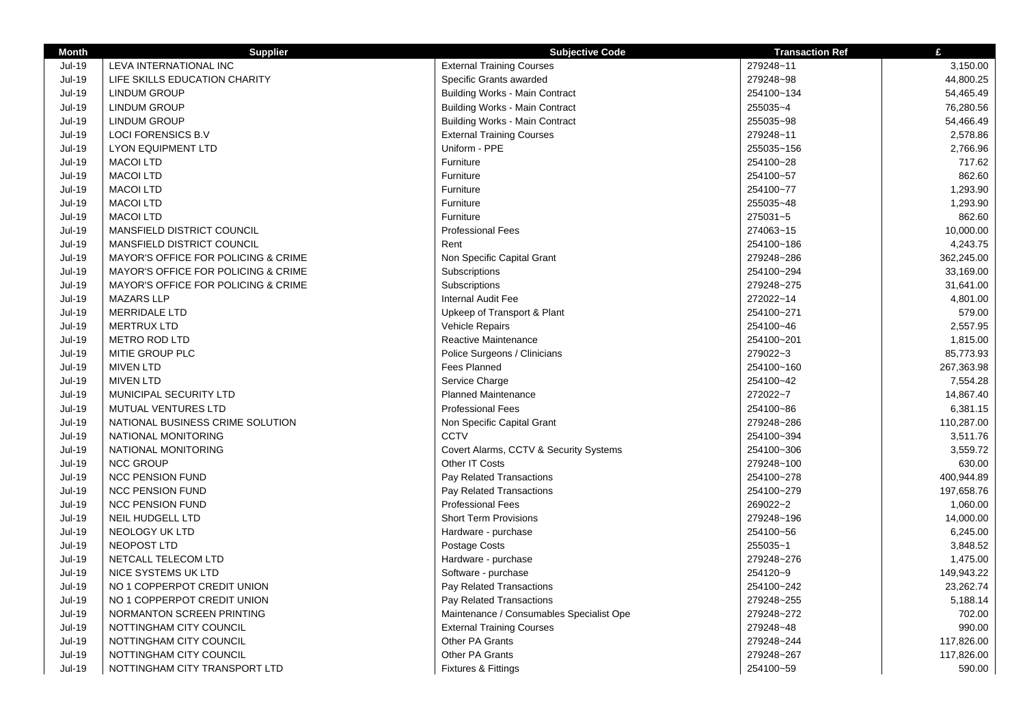| <b>Month</b>  | <b>Supplier</b>                     | <b>Subjective Code</b>                   | <b>Transaction Ref</b> | £          |
|---------------|-------------------------------------|------------------------------------------|------------------------|------------|
| Jul-19        | LEVA INTERNATIONAL INC              | <b>External Training Courses</b>         | 279248~11              | 3,150.00   |
| <b>Jul-19</b> | LIFE SKILLS EDUCATION CHARITY       | Specific Grants awarded                  | 279248~98              | 44,800.25  |
| <b>Jul-19</b> | LINDUM GROUP                        | <b>Building Works - Main Contract</b>    | 254100~134             | 54,465.49  |
| <b>Jul-19</b> | <b>LINDUM GROUP</b>                 | <b>Building Works - Main Contract</b>    | 255035~4               | 76,280.56  |
| <b>Jul-19</b> | LINDUM GROUP                        | <b>Building Works - Main Contract</b>    | 255035~98              | 54,466.49  |
| <b>Jul-19</b> | <b>LOCI FORENSICS B.V</b>           | <b>External Training Courses</b>         | 279248~11              | 2,578.86   |
| <b>Jul-19</b> | <b>LYON EQUIPMENT LTD</b>           | Uniform - PPE                            | 255035~156             | 2,766.96   |
| <b>Jul-19</b> | <b>MACOI LTD</b>                    | Furniture                                | 254100~28              | 717.62     |
| <b>Jul-19</b> | <b>MACOI LTD</b>                    | Furniture                                | 254100~57              | 862.60     |
| Jul-19        | <b>MACOI LTD</b>                    | Furniture                                | 254100~77              | 1,293.90   |
| Jul-19        | <b>MACOI LTD</b>                    | Furniture                                | 255035~48              | 1,293.90   |
| <b>Jul-19</b> | <b>MACOI LTD</b>                    | Furniture                                | 275031~5               | 862.60     |
| Jul-19        | MANSFIELD DISTRICT COUNCIL          | <b>Professional Fees</b>                 | 274063~15              | 10,000.00  |
| Jul-19        | MANSFIELD DISTRICT COUNCIL          | Rent                                     | 254100~186             | 4,243.75   |
| Jul-19        | MAYOR'S OFFICE FOR POLICING & CRIME | Non Specific Capital Grant               | 279248~286             | 362,245.00 |
| <b>Jul-19</b> | MAYOR'S OFFICE FOR POLICING & CRIME | Subscriptions                            | 254100~294             | 33,169.00  |
| Jul-19        | MAYOR'S OFFICE FOR POLICING & CRIME | Subscriptions                            | 279248~275             | 31,641.00  |
| Jul-19        | <b>MAZARS LLP</b>                   | <b>Internal Audit Fee</b>                | 272022~14              | 4,801.00   |
| Jul-19        | <b>MERRIDALE LTD</b>                | Upkeep of Transport & Plant              | 254100~271             | 579.00     |
| $Jul-19$      | <b>MERTRUX LTD</b>                  | <b>Vehicle Repairs</b>                   | 254100~46              | 2,557.95   |
| Jul-19        | <b>METRO ROD LTD</b>                | Reactive Maintenance                     | 254100~201             | 1,815.00   |
| $Jul-19$      | MITIE GROUP PLC                     | Police Surgeons / Clinicians             | 279022~3               | 85,773.93  |
| <b>Jul-19</b> | <b>MIVEN LTD</b>                    | Fees Planned                             | 254100~160             | 267,363.98 |
| <b>Jul-19</b> | <b>MIVEN LTD</b>                    | Service Charge                           | 254100~42              | 7,554.28   |
| <b>Jul-19</b> | MUNICIPAL SECURITY LTD              | <b>Planned Maintenance</b>               | 272022~7               | 14,867.40  |
| $Jul-19$      | MUTUAL VENTURES LTD                 | <b>Professional Fees</b>                 | 254100~86              | 6,381.15   |
| <b>Jul-19</b> | NATIONAL BUSINESS CRIME SOLUTION    | Non Specific Capital Grant               | 279248~286             | 110,287.00 |
| <b>Jul-19</b> | NATIONAL MONITORING                 | <b>CCTV</b>                              | 254100~394             | 3.511.76   |
| Jul-19        | NATIONAL MONITORING                 | Covert Alarms, CCTV & Security Systems   | 254100~306             | 3,559.72   |
| <b>Jul-19</b> | <b>NCC GROUP</b>                    | Other IT Costs                           | 279248~100             | 630.00     |
| Jul-19        | <b>NCC PENSION FUND</b>             | Pay Related Transactions                 | 254100~278             | 400,944.89 |
| <b>Jul-19</b> | <b>NCC PENSION FUND</b>             | Pay Related Transactions                 | 254100~279             | 197,658.76 |
| <b>Jul-19</b> | <b>NCC PENSION FUND</b>             | <b>Professional Fees</b>                 | 269022~2               | 1,060.00   |
| <b>Jul-19</b> | NEIL HUDGELL LTD                    | <b>Short Term Provisions</b>             | 279248~196             | 14,000.00  |
| <b>Jul-19</b> | NEOLOGY UK LTD                      | Hardware - purchase                      | 254100~56              | 6,245.00   |
| <b>Jul-19</b> | NEOPOST LTD                         | Postage Costs                            | 255035~1               | 3,848.52   |
| Jul-19        | NETCALL TELECOM LTD                 | Hardware - purchase                      | 279248~276             | 1,475.00   |
| <b>Jul-19</b> | NICE SYSTEMS UK LTD                 | Software - purchase                      | 254120~9               | 149,943.22 |
| <b>Jul-19</b> | NO 1 COPPERPOT CREDIT UNION         | Pay Related Transactions                 | 254100~242             | 23,262.74  |
| <b>Jul-19</b> | NO 1 COPPERPOT CREDIT UNION         | Pay Related Transactions                 | 279248~255             | 5,188.14   |
| $Jul-19$      | NORMANTON SCREEN PRINTING           | Maintenance / Consumables Specialist Ope | 279248~272             | 702.00     |
| <b>Jul-19</b> | NOTTINGHAM CITY COUNCIL             | <b>External Training Courses</b>         | 279248~48              | 990.00     |
| <b>Jul-19</b> | NOTTINGHAM CITY COUNCIL             | Other PA Grants                          | 279248~244             | 117,826.00 |
| <b>Jul-19</b> | NOTTINGHAM CITY COUNCIL             | Other PA Grants                          | 279248~267             | 117,826.00 |
| $Jul-19$      | NOTTINGHAM CITY TRANSPORT LTD       | <b>Fixtures &amp; Fittings</b>           | 254100~59              | 590.00     |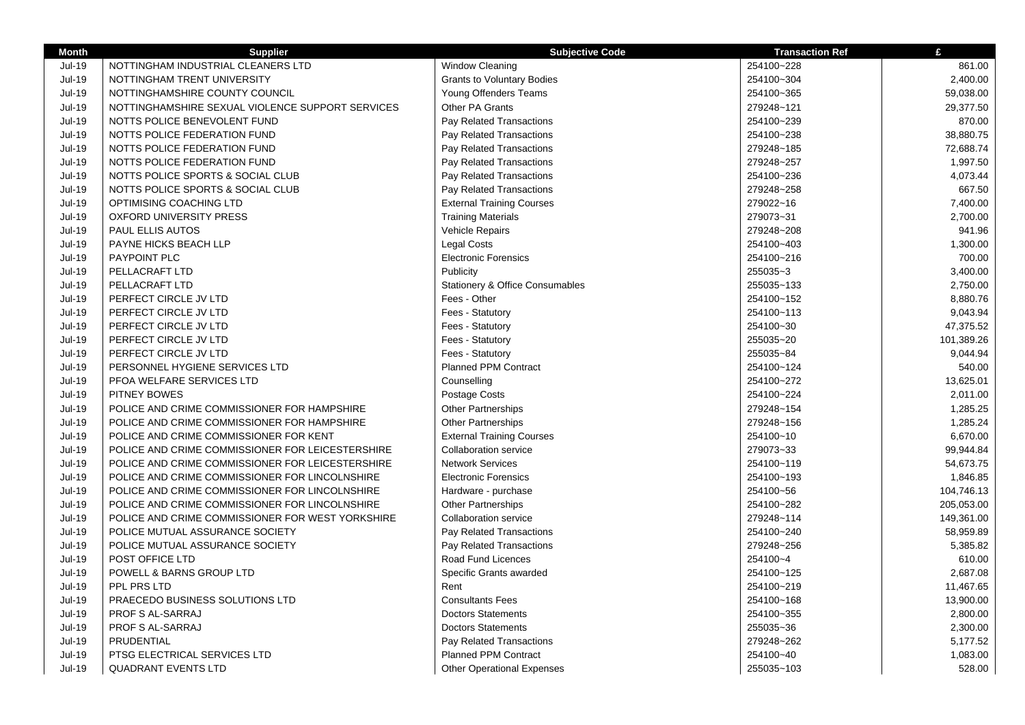| <b>Month</b>  | <b>Supplier</b>                                  | <b>Subjective Code</b>                     | <b>Transaction Ref</b> | £          |
|---------------|--------------------------------------------------|--------------------------------------------|------------------------|------------|
| <b>Jul-19</b> | NOTTINGHAM INDUSTRIAL CLEANERS LTD               | Window Cleaning                            | 254100~228             | 861.00     |
| <b>Jul-19</b> | NOTTINGHAM TRENT UNIVERSITY                      | <b>Grants to Voluntary Bodies</b>          | 254100~304             | 2,400.00   |
| <b>Jul-19</b> | NOTTINGHAMSHIRE COUNTY COUNCIL                   | Young Offenders Teams                      | 254100~365             | 59,038.00  |
| <b>Jul-19</b> | NOTTINGHAMSHIRE SEXUAL VIOLENCE SUPPORT SERVICES | Other PA Grants                            | 279248~121             | 29,377.50  |
| <b>Jul-19</b> | NOTTS POLICE BENEVOLENT FUND                     | Pay Related Transactions                   | 254100~239             | 870.00     |
| <b>Jul-19</b> | NOTTS POLICE FEDERATION FUND                     | Pay Related Transactions                   | 254100~238             | 38,880.75  |
| <b>Jul-19</b> | NOTTS POLICE FEDERATION FUND                     | Pay Related Transactions                   | 279248~185             | 72,688.74  |
| <b>Jul-19</b> | NOTTS POLICE FEDERATION FUND                     | Pay Related Transactions                   | 279248~257             | 1,997.50   |
| <b>Jul-19</b> | NOTTS POLICE SPORTS & SOCIAL CLUB                | Pay Related Transactions                   | 254100~236             | 4,073.44   |
| <b>Jul-19</b> | NOTTS POLICE SPORTS & SOCIAL CLUB                | Pay Related Transactions                   | 279248~258             | 667.50     |
| <b>Jul-19</b> | OPTIMISING COACHING LTD                          | <b>External Training Courses</b>           | 279022~16              | 7,400.00   |
| <b>Jul-19</b> | <b>OXFORD UNIVERSITY PRESS</b>                   | <b>Training Materials</b>                  | 279073~31              | 2,700.00   |
| <b>Jul-19</b> | PAUL ELLIS AUTOS                                 | Vehicle Repairs                            | 279248~208             | 941.96     |
| <b>Jul-19</b> | PAYNE HICKS BEACH LLP                            | <b>Legal Costs</b>                         | 254100~403             | 1,300.00   |
| <b>Jul-19</b> | PAYPOINT PLC                                     | <b>Electronic Forensics</b>                | 254100~216             | 700.00     |
| <b>Jul-19</b> | PELLACRAFT LTD                                   | Publicity                                  | 255035~3               | 3,400.00   |
| <b>Jul-19</b> | PELLACRAFT LTD                                   | <b>Stationery &amp; Office Consumables</b> | 255035~133             | 2,750.00   |
| <b>Jul-19</b> | PERFECT CIRCLE JV LTD                            | Fees - Other                               | 254100~152             | 8,880.76   |
| <b>Jul-19</b> | PERFECT CIRCLE JV LTD                            | Fees - Statutory                           | 254100~113             | 9,043.94   |
| <b>Jul-19</b> | PERFECT CIRCLE JV LTD                            | Fees - Statutory                           | 254100~30              | 47,375.52  |
| <b>Jul-19</b> | PERFECT CIRCLE JV LTD                            | Fees - Statutory                           | 255035~20              | 101,389.26 |
| <b>Jul-19</b> | PERFECT CIRCLE JV LTD                            | Fees - Statutory                           | 255035~84              | 9,044.94   |
| <b>Jul-19</b> | PERSONNEL HYGIENE SERVICES LTD                   | Planned PPM Contract                       | 254100~124             | 540.00     |
| <b>Jul-19</b> | PFOA WELFARE SERVICES LTD                        | Counselling                                | 254100~272             | 13,625.01  |
| <b>Jul-19</b> | PITNEY BOWES                                     | Postage Costs                              | 254100~224             | 2,011.00   |
| <b>Jul-19</b> | POLICE AND CRIME COMMISSIONER FOR HAMPSHIRE      | Other Partnerships                         | 279248~154             | 1,285.25   |
| <b>Jul-19</b> | POLICE AND CRIME COMMISSIONER FOR HAMPSHIRE      | Other Partnerships                         | 279248~156             | 1,285.24   |
| <b>Jul-19</b> | POLICE AND CRIME COMMISSIONER FOR KENT           | <b>External Training Courses</b>           | 254100~10              | 6,670.00   |
| <b>Jul-19</b> | POLICE AND CRIME COMMISSIONER FOR LEICESTERSHIRE | Collaboration service                      | 279073~33              | 99,944.84  |
| <b>Jul-19</b> | POLICE AND CRIME COMMISSIONER FOR LEICESTERSHIRE | <b>Network Services</b>                    | 254100~119             | 54,673.75  |
| <b>Jul-19</b> | POLICE AND CRIME COMMISSIONER FOR LINCOLNSHIRE   | <b>Electronic Forensics</b>                | 254100~193             | 1,846.85   |
| <b>Jul-19</b> | POLICE AND CRIME COMMISSIONER FOR LINCOLNSHIRE   | Hardware - purchase                        | 254100~56              | 104,746.13 |
| <b>Jul-19</b> | POLICE AND CRIME COMMISSIONER FOR LINCOLNSHIRE   | <b>Other Partnerships</b>                  | 254100~282             | 205,053.00 |
| <b>Jul-19</b> | POLICE AND CRIME COMMISSIONER FOR WEST YORKSHIRE | Collaboration service                      | 279248~114             | 149,361.00 |
| <b>Jul-19</b> | POLICE MUTUAL ASSURANCE SOCIETY                  | Pay Related Transactions                   | 254100~240             | 58,959.89  |
| <b>Jul-19</b> | POLICE MUTUAL ASSURANCE SOCIETY                  | Pay Related Transactions                   | 279248~256             | 5,385.82   |
| <b>Jul-19</b> | POST OFFICE LTD                                  | Road Fund Licences                         | 254100~4               | 610.00     |
| <b>Jul-19</b> | POWELL & BARNS GROUP LTD                         | Specific Grants awarded                    | 254100~125             | 2,687.08   |
| <b>Jul-19</b> | PPL PRS LTD                                      | Rent                                       | 254100~219             | 11,467.65  |
| <b>Jul-19</b> | PRAECEDO BUSINESS SOLUTIONS LTD                  | <b>Consultants Fees</b>                    | 254100~168             | 13,900.00  |
| <b>Jul-19</b> | PROF S AL-SARRAJ                                 | <b>Doctors Statements</b>                  | 254100~355             | 2,800.00   |
| <b>Jul-19</b> | PROF S AL-SARRAJ                                 | <b>Doctors Statements</b>                  | 255035~36              | 2,300.00   |
| <b>Jul-19</b> | PRUDENTIAL                                       | Pay Related Transactions                   | 279248~262             | 5,177.52   |
| Jul-19        | PTSG ELECTRICAL SERVICES LTD                     | <b>Planned PPM Contract</b>                | 254100~40              | 1,083.00   |
| <b>Jul-19</b> | <b>QUADRANT EVENTS LTD</b>                       | <b>Other Operational Expenses</b>          | 255035~103             | 528.00     |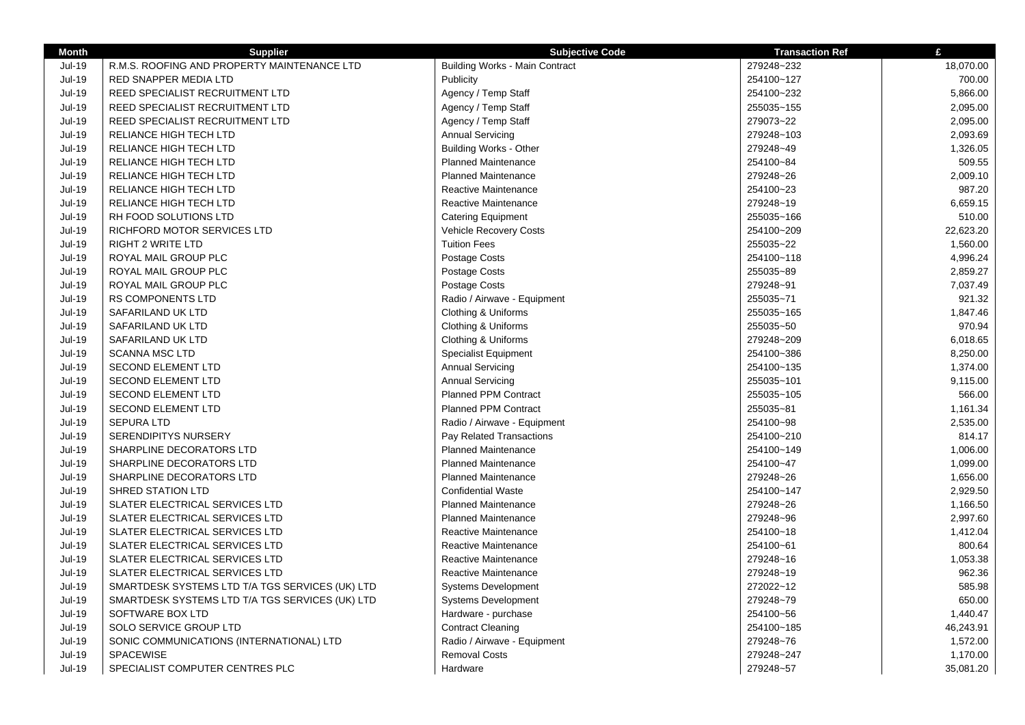| <b>Month</b>  | <b>Supplier</b>                                 | <b>Subjective Code</b>         | <b>Transaction Ref</b> | £         |
|---------------|-------------------------------------------------|--------------------------------|------------------------|-----------|
| $Jul-19$      | R.M.S. ROOFING AND PROPERTY MAINTENANCE LTD     | Building Works - Main Contract | 279248~232             | 18,070.00 |
| <b>Jul-19</b> | RED SNAPPER MEDIA LTD                           | Publicity                      | 254100~127             | 700.00    |
| <b>Jul-19</b> | REED SPECIALIST RECRUITMENT LTD                 | Agency / Temp Staff            | 254100~232             | 5,866.00  |
| <b>Jul-19</b> | REED SPECIALIST RECRUITMENT LTD                 | Agency / Temp Staff            | 255035~155             | 2,095.00  |
| <b>Jul-19</b> | REED SPECIALIST RECRUITMENT LTD                 | Agency / Temp Staff            | 279073~22              | 2,095.00  |
| <b>Jul-19</b> | RELIANCE HIGH TECH LTD                          | <b>Annual Servicing</b>        | 279248~103             | 2,093.69  |
| <b>Jul-19</b> | RELIANCE HIGH TECH LTD                          | <b>Building Works - Other</b>  | 279248~49              | 1,326.05  |
| $Jul-19$      | RELIANCE HIGH TECH LTD                          | <b>Planned Maintenance</b>     | 254100~84              | 509.55    |
| <b>Jul-19</b> | RELIANCE HIGH TECH LTD                          | <b>Planned Maintenance</b>     | 279248~26              | 2,009.10  |
| <b>Jul-19</b> | RELIANCE HIGH TECH LTD                          | Reactive Maintenance           | 254100~23              | 987.20    |
| <b>Jul-19</b> | <b>RELIANCE HIGH TECH LTD</b>                   | Reactive Maintenance           | 279248~19              | 6,659.15  |
| <b>Jul-19</b> | RH FOOD SOLUTIONS LTD                           | <b>Catering Equipment</b>      | 255035~166             | 510.00    |
| <b>Jul-19</b> | RICHFORD MOTOR SERVICES LTD                     | Vehicle Recovery Costs         | 254100~209             | 22,623.20 |
| <b>Jul-19</b> | <b>RIGHT 2 WRITE LTD</b>                        | <b>Tuition Fees</b>            | 255035~22              | 1,560.00  |
| <b>Jul-19</b> | ROYAL MAIL GROUP PLC                            | Postage Costs                  | 254100~118             | 4,996.24  |
| <b>Jul-19</b> | ROYAL MAIL GROUP PLC                            | Postage Costs                  | 255035~89              | 2,859.27  |
| <b>Jul-19</b> | ROYAL MAIL GROUP PLC                            | Postage Costs                  | 279248~91              | 7,037.49  |
| Jul-19        | <b>RS COMPONENTS LTD</b>                        | Radio / Airwave - Equipment    | 255035~71              | 921.32    |
| Jul-19        | SAFARILAND UK LTD                               | Clothing & Uniforms            | 255035~165             | 1,847.46  |
| Jul-19        | SAFARILAND UK LTD                               | Clothing & Uniforms            | 255035~50              | 970.94    |
| Jul-19        | SAFARILAND UK LTD                               | Clothing & Uniforms            | 279248~209             | 6,018.65  |
| Jul-19        | <b>SCANNA MSC LTD</b>                           | <b>Specialist Equipment</b>    | 254100~386             | 8,250.00  |
| Jul-19        | <b>SECOND ELEMENT LTD</b>                       | <b>Annual Servicing</b>        | 254100~135             | 1,374.00  |
| $Jul-19$      | <b>SECOND ELEMENT LTD</b>                       | <b>Annual Servicing</b>        | 255035~101             | 9,115.00  |
| Jul-19        | <b>SECOND ELEMENT LTD</b>                       | <b>Planned PPM Contract</b>    | 255035~105             | 566.00    |
| Jul-19        | <b>SECOND ELEMENT LTD</b>                       | <b>Planned PPM Contract</b>    | 255035~81              | 1,161.34  |
| Jul-19        | <b>SEPURA LTD</b>                               | Radio / Airwave - Equipment    | 254100~98              | 2,535.00  |
| Jul-19        | <b>SERENDIPITYS NURSERY</b>                     | Pay Related Transactions       | 254100~210             | 814.17    |
| Jul-19        | SHARPLINE DECORATORS LTD                        | <b>Planned Maintenance</b>     | 254100~149             | 1,006.00  |
| Jul-19        | SHARPLINE DECORATORS LTD                        | <b>Planned Maintenance</b>     | 254100~47              | 1,099.00  |
| <b>Jul-19</b> | SHARPLINE DECORATORS LTD                        | <b>Planned Maintenance</b>     | 279248~26              | 1,656.00  |
| Jul-19        | SHRED STATION LTD                               | <b>Confidential Waste</b>      | 254100~147             | 2,929.50  |
| Jul-19        | SLATER ELECTRICAL SERVICES LTD                  | <b>Planned Maintenance</b>     | 279248~26              | 1,166.50  |
| Jul-19        | SLATER ELECTRICAL SERVICES LTD                  | <b>Planned Maintenance</b>     | 279248~96              | 2,997.60  |
| Jul-19        | SLATER ELECTRICAL SERVICES LTD                  | Reactive Maintenance           | 254100~18              | 1,412.04  |
| Jul-19        | SLATER ELECTRICAL SERVICES LTD                  | Reactive Maintenance           | 254100~61              | 800.64    |
| Jul-19        | SLATER ELECTRICAL SERVICES LTD                  | Reactive Maintenance           | 279248~16              | 1,053.38  |
| Jul-19        | SLATER ELECTRICAL SERVICES LTD                  | Reactive Maintenance           | 279248~19              | 962.36    |
| Jul-19        | SMARTDESK SYSTEMS LTD T/A TGS SERVICES (UK) LTD | <b>Systems Development</b>     | 272022~12              | 585.98    |
| $Jul-19$      | SMARTDESK SYSTEMS LTD T/A TGS SERVICES (UK) LTD | <b>Systems Development</b>     | 279248~79              | 650.00    |
| Jul-19        | SOFTWARE BOX LTD                                | Hardware - purchase            | 254100~56              | 1,440.47  |
| Jul-19        | SOLO SERVICE GROUP LTD                          | <b>Contract Cleaning</b>       | 254100~185             | 46,243.91 |
| Jul-19        | SONIC COMMUNICATIONS (INTERNATIONAL) LTD        | Radio / Airwave - Equipment    | 279248~76              | 1,572.00  |
| $Jul-19$      | SPACEWISE                                       | <b>Removal Costs</b>           | 279248~247             | 1,170.00  |
| <b>Jul-19</b> | SPECIALIST COMPUTER CENTRES PLC                 | Hardware                       | 279248~57              | 35,081.20 |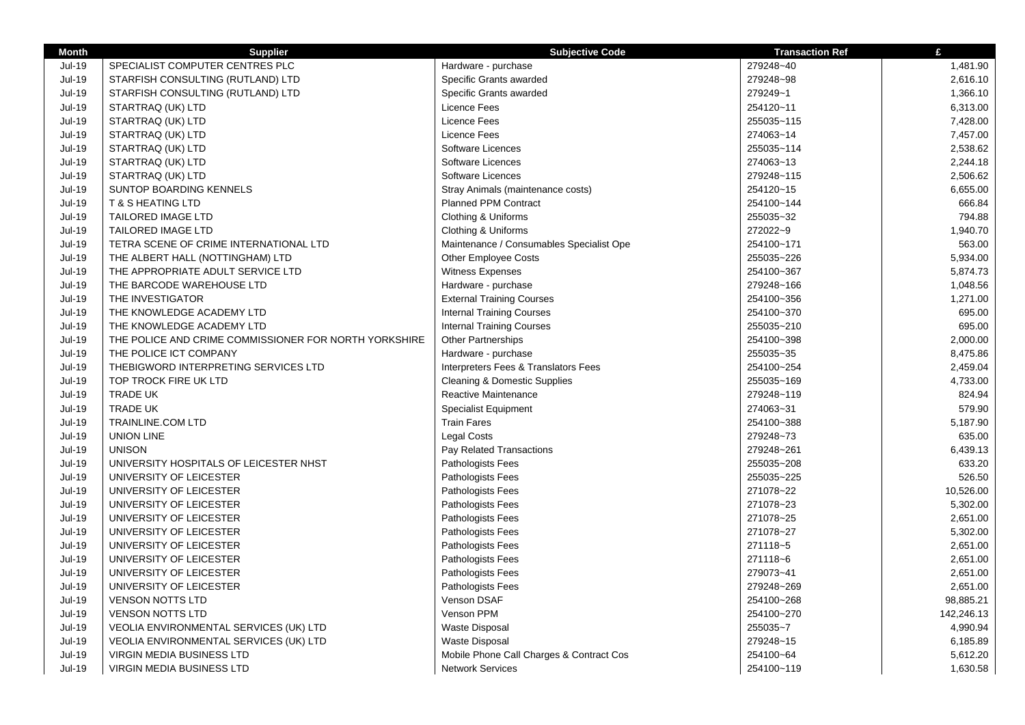| <b>Month</b>  | <b>Supplier</b>                                       | <b>Subjective Code</b>                   | <b>Transaction Ref</b>   | £          |
|---------------|-------------------------------------------------------|------------------------------------------|--------------------------|------------|
| <b>Jul-19</b> | SPECIALIST COMPUTER CENTRES PLC                       | Hardware - purchase                      | 279248~40                | 1,481.90   |
| Jul-19        | STARFISH CONSULTING (RUTLAND) LTD                     | Specific Grants awarded                  | 279248~98                | 2,616.10   |
| <b>Jul-19</b> | STARFISH CONSULTING (RUTLAND) LTD                     | Specific Grants awarded                  | 279249~1                 | 1,366.10   |
| <b>Jul-19</b> | STARTRAQ (UK) LTD                                     | Licence Fees                             | 254120~11                | 6,313.00   |
| <b>Jul-19</b> | STARTRAQ (UK) LTD                                     | Licence Fees                             | 255035~115               | 7,428.00   |
| $Jul-19$      | STARTRAQ (UK) LTD                                     | Licence Fees                             | 274063~14                | 7,457.00   |
| <b>Jul-19</b> | STARTRAQ (UK) LTD                                     | Software Licences                        | 255035~114               | 2,538.62   |
| $Jul-19$      | STARTRAQ (UK) LTD                                     | Software Licences                        | 274063~13                | 2,244.18   |
| <b>Jul-19</b> | STARTRAQ (UK) LTD                                     | Software Licences                        | 279248~115               | 2,506.62   |
| $Jul-19$      | SUNTOP BOARDING KENNELS                               | Stray Animals (maintenance costs)        | 254120~15                | 6,655.00   |
| <b>Jul-19</b> | <b>T &amp; S HEATING LTD</b>                          | Planned PPM Contract                     | 254100~144               | 666.84     |
| <b>Jul-19</b> | TAILORED IMAGE LTD                                    | Clothing & Uniforms                      | 255035~32                | 794.88     |
| <b>Jul-19</b> | <b>TAILORED IMAGE LTD</b>                             | Clothing & Uniforms                      | 272022~9                 | 1,940.70   |
| Jul-19        | TETRA SCENE OF CRIME INTERNATIONAL LTD                | Maintenance / Consumables Specialist Ope | 254100~171               | 563.00     |
| <b>Jul-19</b> | THE ALBERT HALL (NOTTINGHAM) LTD                      | <b>Other Employee Costs</b>              | 255035~226               | 5,934.00   |
| $Jul-19$      | THE APPROPRIATE ADULT SERVICE LTD                     | <b>Witness Expenses</b>                  | 254100~367               | 5,874.73   |
| <b>Jul-19</b> | THE BARCODE WAREHOUSE LTD                             | Hardware - purchase                      | 279248~166               | 1,048.56   |
| <b>Jul-19</b> | THE INVESTIGATOR                                      | <b>External Training Courses</b>         | 254100~356               | 1,271.00   |
| Jul-19        | THE KNOWLEDGE ACADEMY LTD                             | <b>Internal Training Courses</b>         | 254100~370               | 695.00     |
| $Jul-19$      | THE KNOWLEDGE ACADEMY LTD                             | <b>Internal Training Courses</b>         | 255035~210               | 695.00     |
| Jul-19        | THE POLICE AND CRIME COMMISSIONER FOR NORTH YORKSHIRE | <b>Other Partnerships</b>                | 254100~398               | 2,000.00   |
| <b>Jul-19</b> | THE POLICE ICT COMPANY                                | Hardware - purchase                      | 255035~35                | 8,475.86   |
| <b>Jul-19</b> | THEBIGWORD INTERPRETING SERVICES LTD                  | Interpreters Fees & Translators Fees     | 254100~254               | 2,459.04   |
| <b>Jul-19</b> | TOP TROCK FIRE UK LTD                                 | <b>Cleaning &amp; Domestic Supplies</b>  | 255035~169               | 4,733.00   |
| $Jul-19$      | <b>TRADE UK</b>                                       | Reactive Maintenance                     | 279248~119               | 824.94     |
| <b>Jul-19</b> | <b>TRADE UK</b>                                       | <b>Specialist Equipment</b>              | 274063~31                | 579.90     |
| Jul-19        | <b>TRAINLINE.COM LTD</b>                              | <b>Train Fares</b>                       | 254100~388               | 5,187.90   |
| <b>Jul-19</b> | <b>UNION LINE</b>                                     | <b>Legal Costs</b>                       | 279248~73                | 635.00     |
| <b>Jul-19</b> | <b>UNISON</b>                                         | Pay Related Transactions                 | 279248~261               | 6,439.13   |
| <b>Jul-19</b> | UNIVERSITY HOSPITALS OF LEICESTER NHST                | Pathologists Fees                        | 255035~208               | 633.20     |
| Jul-19        | UNIVERSITY OF LEICESTER                               | Pathologists Fees                        | 255035~225               | 526.50     |
| <b>Jul-19</b> | UNIVERSITY OF LEICESTER                               | Pathologists Fees                        | 271078~22                | 10,526.00  |
| <b>Jul-19</b> | UNIVERSITY OF LEICESTER                               | Pathologists Fees                        | 271078~23                | 5,302.00   |
| <b>Jul-19</b> | UNIVERSITY OF LEICESTER                               | Pathologists Fees                        | 271078~25                | 2,651.00   |
| <b>Jul-19</b> | UNIVERSITY OF LEICESTER                               | Pathologists Fees                        | 271078~27                | 5,302.00   |
| <b>Jul-19</b> | UNIVERSITY OF LEICESTER                               | Pathologists Fees                        | 271118~5                 | 2,651.00   |
| <b>Jul-19</b> | UNIVERSITY OF LEICESTER                               | Pathologists Fees                        | 271118~6                 | 2,651.00   |
| Jul-19        | UNIVERSITY OF LEICESTER                               | Pathologists Fees                        | 279073~41                | 2,651.00   |
| <b>Jul-19</b> | UNIVERSITY OF LEICESTER                               | Pathologists Fees                        | 279248~269               | 2,651.00   |
| $Jul-19$      | <b>VENSON NOTTS LTD</b>                               | Venson DSAF                              |                          | 98,885.21  |
| <b>Jul-19</b> | <b>VENSON NOTTS LTD</b>                               | Venson PPM                               | 254100~268<br>254100~270 | 142.246.13 |
| <b>Jul-19</b> |                                                       |                                          | 255035~7                 | 4,990.94   |
|               | VEOLIA ENVIRONMENTAL SERVICES (UK) LTD                | Waste Disposal<br>Waste Disposal         | 279248~15                |            |
| Jul-19        | VEOLIA ENVIRONMENTAL SERVICES (UK) LTD                |                                          |                          | 6,185.89   |
| <b>Jul-19</b> | <b>VIRGIN MEDIA BUSINESS LTD</b>                      | Mobile Phone Call Charges & Contract Cos | 254100~64                | 5,612.20   |
| <b>Jul-19</b> | <b>VIRGIN MEDIA BUSINESS LTD</b>                      | <b>Network Services</b>                  | 254100~119               | 1,630.58   |